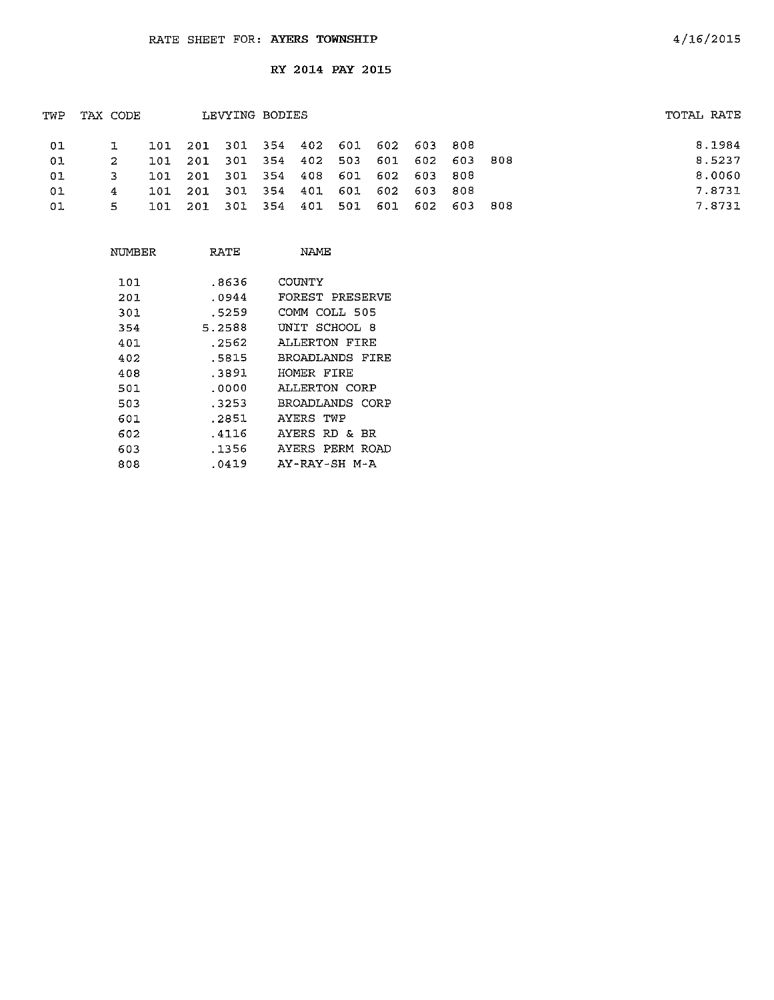|    |       |          |              |                                  |                                                                 |                |                |                                                     | TOTAL RATE |
|----|-------|----------|--------------|----------------------------------|-----------------------------------------------------------------|----------------|----------------|-----------------------------------------------------|------------|
|    | 101   |          |              |                                  |                                                                 |                |                |                                                     | 8.1984     |
| 2. | 1.01. |          |              |                                  |                                                                 |                | 603            | 808                                                 | 8.5237     |
| 3  | 1 O T | 201      |              |                                  |                                                                 |                | -808           |                                                     | 8.0060     |
| 4  | 101   |          |              |                                  |                                                                 |                |                |                                                     | 7.8731     |
| 5. | ר חיד | -201     |              |                                  | 601                                                             | 602            | -603           | 808                                                 | 7.8731     |
|    |       | TAX CODE | 301<br>- 301 | LEVYING BODIES<br>354 408<br>354 | 201 301 354 402 503<br>601<br>201 301 354 401 601<br>501<br>401 | - 602<br>- 602 | - 603<br>- 603 | 201 301 354 402 601 602 603 808<br>601 602<br>- 808 |            |

| NUMBER | RATE   | NAME            |
|--------|--------|-----------------|
| 101    | .8636  | COUNTY          |
| 201    | .0944  | FOREST PRESERVE |
| 301    | .5259  | COMM COLL 505   |
| 354    | 5.2588 | UNIT SCHOOL 8   |
| 401    | .2562  | ALLERTON FIRE   |
| 402    | .5815  | BROADLANDS FIRE |
| 408    | .3891  | HOMER FIRE      |
| 501    | .0000  | ALLERTON CORP   |
| 503    | .3253  | BROADLANDS CORP |
| 601.   | .2851  | AYERS TWP       |
| 602    | .4116  | AYERS RD & BR   |
| 603    | .1356  | AYERS PERM ROAD |
| 808    | .0419  | AY-RAY-SH M-A   |
|        |        |                 |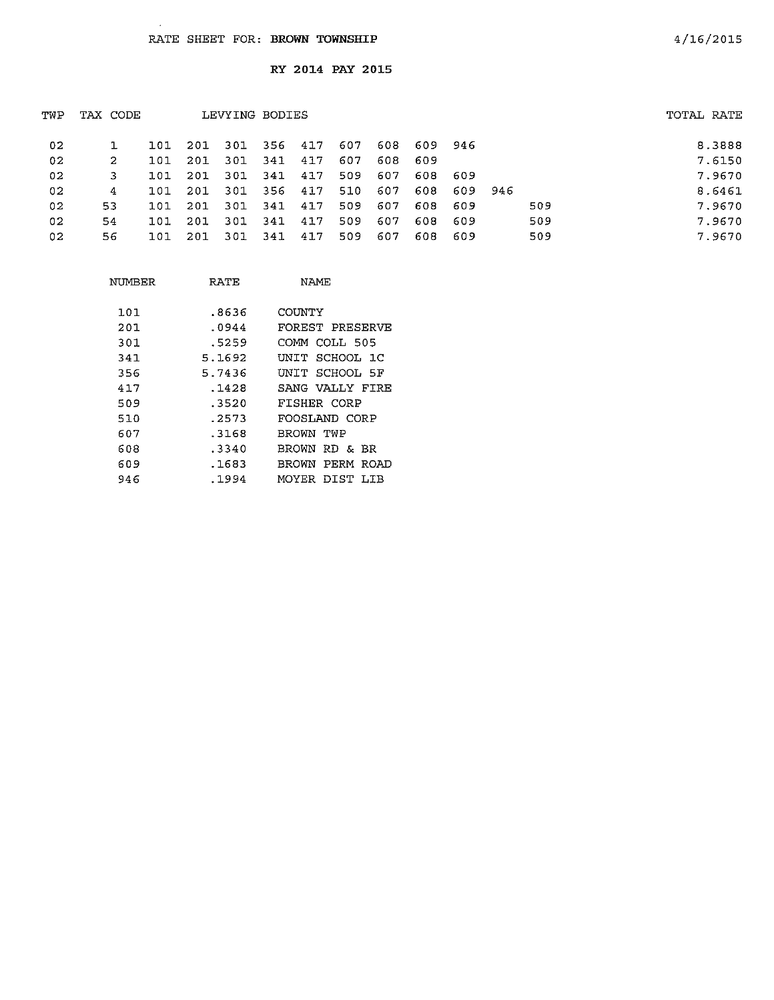$\Delta$ 

| TWP             | TAX CODE |     |      |       | LEVYING BODIES |     |     |     |      |         |     | TOTAL RATE |        |
|-----------------|----------|-----|------|-------|----------------|-----|-----|-----|------|---------|-----|------------|--------|
| 02              |          | 101 | -201 | - 301 | 356 417        |     | 607 | 608 |      | 609 946 |     |            | 8.3888 |
| 02              | 2        | 101 | 201  | 301   | 341            | 417 | 607 | 608 | -609 |         |     |            | 7.6150 |
| 02              |          | 101 | -201 | -301  | 341            | 417 | 509 | 607 | 608  | - 609   |     |            | 7.9670 |
| 02              | 4        | 101 | 201  | - 301 | 356            | 417 | 510 | 607 | 608  | 609 946 |     |            | 8.6461 |
| 02              | 53.      | 101 | 201  | -301  | 341            | 417 | 509 | 607 | 608  | -609    | 509 |            | 7.9670 |
| 02 <sub>1</sub> | 54       | 101 | 201  | -301  | 341            | 417 | 509 | 607 | 608  | -609    | 509 |            | 7.9670 |
| 02              | 56.      | 101 | 201  | - 301 | -341           | 417 | 509 | 607 | 608  | -609    | 509 |            | 7.9670 |
|                 |          |     |      |       |                |     |     |     |      |         |     |            |        |

| NUMBER | RATE   | <b>NAME</b>           |
|--------|--------|-----------------------|
| 101    | . 8636 | COUNTY                |
| 201    | .0944  | FOREST PRESERVE       |
| 301.   | .5259  | COMM COLL 505         |
| 341    | 5.1692 | INIT SCHOOL 1C        |
| 356    | 5.7436 | INIT SCHOOL 5F        |
| 417    | .1428  | SANG VALLY FIRE       |
| 509    | .3520  | FISHER CORP           |
| 510    | . 2573 | FOOSLAND CORP         |
| 607    | . 3168 | RROWN TWP             |
| 608    | .3340  | BROWN RD & BR         |
| 609    | .1683  | BROWN<br>PERM<br>ROAD |
| 946    | .1994  | MOYER DIST LIB        |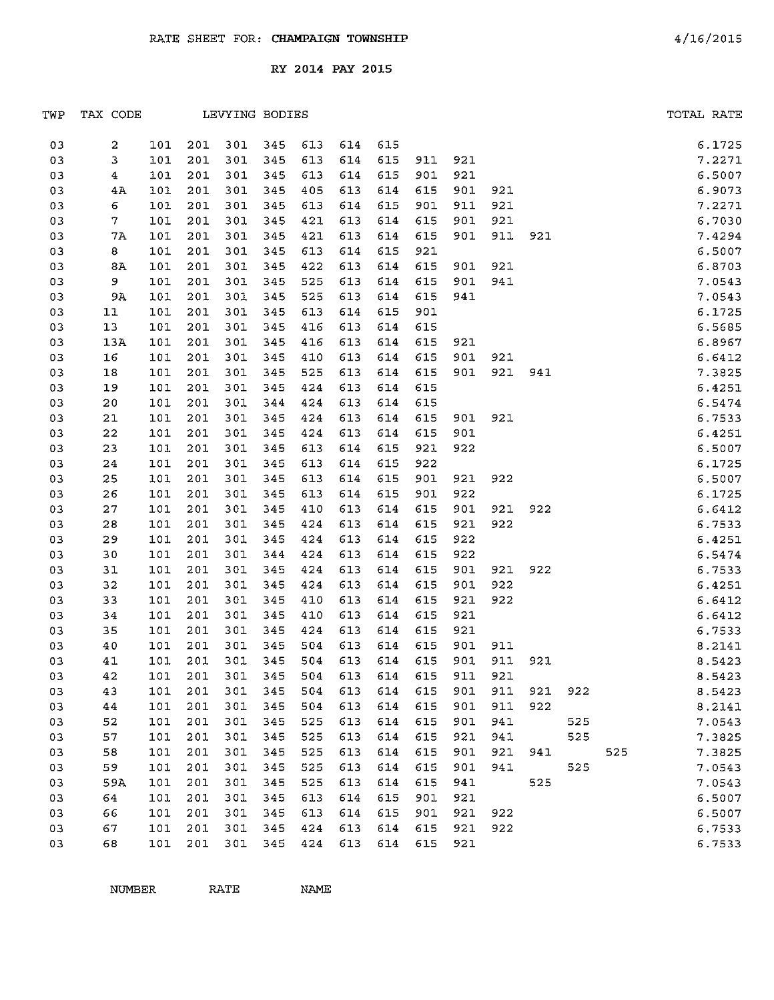| TWP | TAX CODE       |     |     |     | LEVYING BODIES |     |         |     |         |     |     |     |     |     | TOTAL RATE |        |
|-----|----------------|-----|-----|-----|----------------|-----|---------|-----|---------|-----|-----|-----|-----|-----|------------|--------|
| 03  | 2              | 101 | 201 | 301 | 345            | 613 | 614     | 615 |         |     |     |     |     |     |            | 6.1725 |
| 03  | 3              | 101 | 201 | 301 | 345            | 613 | 614     | 615 | 911     | 921 |     |     |     |     |            | 7.2271 |
| 03  | $\overline{4}$ | 101 | 201 | 301 | 345            | 613 | 614     | 615 | 901     | 921 |     |     |     |     |            | 6.5007 |
| 03  | 4A             | 101 | 201 | 301 | 345            | 405 | 613     | 614 | 615     | 901 | 921 |     |     |     |            | 6.9073 |
| 03  | 6              | 101 | 201 | 301 | 345            | 613 | 614     | 615 | 901     | 911 | 921 |     |     |     |            | 7.2271 |
| 03  | $\mathcal{T}$  | 101 | 201 | 301 | 345            | 421 | 613     | 614 | 615     | 901 | 921 |     |     |     |            | 6.7030 |
| 03  | 7A             | 101 | 201 | 301 | 345            | 421 | 613     | 614 | 615     | 901 | 911 | 921 |     |     |            | 7.4294 |
| 03  | 8              | 101 | 201 | 301 | 345            | 613 | 614     | 615 | 921     |     |     |     |     |     |            | 6.5007 |
| 03  | 8A             | 101 | 201 | 301 | 345            | 422 | 613     | 614 | 615     | 901 | 921 |     |     |     |            | 6.8703 |
| 03  | 9              | 101 | 201 | 301 | 345            | 525 | 613     | 614 | 615     | 901 | 941 |     |     |     |            | 7.0543 |
| 03  | 9A             | 101 | 201 | 301 | 345            | 525 | 613     | 614 | 615     | 941 |     |     |     |     |            | 7.0543 |
| 03  | 11             | 101 | 201 | 301 | 345            | 613 | 614     | 615 | 901     |     |     |     |     |     |            | 6.1725 |
| 03  | 13             | 101 | 201 | 301 | 345            | 416 | 613     | 614 | 615     |     |     |     |     |     |            | 6.5685 |
| 03  | 13A            | 101 | 201 | 301 | 345            | 416 | 613     | 614 | 615     | 921 |     |     |     |     |            | 6.8967 |
| 03  | 16             | 101 | 201 | 301 | 345            | 410 | 613     | 614 | 615     | 901 | 921 |     |     |     |            | 6.6412 |
| 03  | 18             | 101 | 201 | 301 | 345            | 525 | 613     | 614 | 615     | 901 | 921 | 941 |     |     |            | 7.3825 |
| 03  | 19             | 101 | 201 | 301 | 345            | 424 | 613     | 614 | 615     |     |     |     |     |     |            | 6.4251 |
| 03  | 20             | 101 | 201 | 301 | 344            | 424 | 613     | 614 | 615     |     |     |     |     |     |            | 6.5474 |
| 03  | 21             | 101 | 201 | 301 | 345            | 424 | 613     | 614 | 615     | 901 | 921 |     |     |     |            | 6.7533 |
| 03  | 22             | 101 | 201 | 301 | 345            | 424 | 613     | 614 | 615     | 901 |     |     |     |     |            | 6.4251 |
| 03  | 23             | 101 | 201 | 301 | 345            | 613 | 614     | 615 | 921     | 922 |     |     |     |     |            | 6.5007 |
| 03  | 24             | 101 | 201 | 301 | 345            | 613 | 614     | 615 | 922     |     |     |     |     |     |            | 6.1725 |
| 03  | 25             | 101 | 201 | 301 | 345            | 613 | 614     | 615 | 901     | 921 | 922 |     |     |     |            | 6.5007 |
| 03  | 26             | 101 | 201 | 301 | 345            | 613 | 614     | 615 | 901     | 922 |     |     |     |     |            | 6.1725 |
| 03  | 27             | 101 | 201 | 301 | 345            | 410 | 613     | 614 | 615     | 901 | 921 | 922 |     |     |            | 6.6412 |
| 03  | 28             | 101 | 201 | 301 | 345            | 424 | 613     | 614 | 615     | 921 | 922 |     |     |     |            | 6.7533 |
| 03  | 29             | 101 | 201 | 301 | 345            | 424 | 613     | 614 | 615     | 922 |     |     |     |     |            | 6.4251 |
| 03  | 30             | 101 | 201 | 301 | 344            | 424 | 613     | 614 | 615     | 922 |     |     |     |     |            | 6.5474 |
| 03  | 31             | 101 | 201 | 301 | 345            | 424 | 613     | 614 | 615     | 901 | 921 | 922 |     |     |            | 6.7533 |
| 03  | 32             | 101 | 201 | 301 | 345            | 424 | 613     | 614 | 615     | 901 | 922 |     |     |     |            | 6.4251 |
| 03  | 33             | 101 | 201 | 301 | 345            | 410 | 613     | 614 | 615     | 921 | 922 |     |     |     |            | 6.6412 |
| 03  | 34             | 101 | 201 | 301 | 345            | 410 | 613     | 614 | 615     | 921 |     |     |     |     |            | 6.6412 |
| 03  | 35             | 101 | 201 | 301 | 345            | 424 | 613     | 614 | 615     | 921 |     |     |     |     |            | 6.7533 |
| 03  | 40             | 101 | 201 | 301 | 345            | 504 | 613     | 614 | 615     | 901 | 911 |     |     |     |            | 8.2141 |
| 03  | 41             | 101 | 201 | 301 | 345            | 504 | 613     | 614 | 615     | 901 | 911 | 921 |     |     |            | 8.5423 |
| 03  | 42             | 101 | 201 | 301 | 345            |     | 504 613 |     | 614 615 | 911 | 921 |     |     |     |            | 8.5423 |
| 03  | 43             | 101 | 201 | 301 | 345            | 504 | 613     | 614 | 615     | 901 | 911 | 921 | 922 |     |            | 8.5423 |
| 03  | 44             | 101 | 201 | 301 | 345            | 504 | 613     | 614 | 615     | 901 | 911 | 922 |     |     |            | 8.2141 |
| 03  | 52             | 101 | 201 | 301 | 345            | 525 | 613     | 614 | 615     | 901 | 941 |     | 525 |     |            | 7.0543 |
| 03  | 57             | 101 | 201 | 301 | 345            | 525 | 613     | 614 | 615     | 921 | 941 |     | 525 |     |            | 7.3825 |
| 03  | 58             | 101 | 201 | 301 | 345            | 525 | 613     | 614 | 615     | 901 | 921 | 941 |     | 525 |            | 7.3825 |
| 03  | 59             | 101 | 201 | 301 | 345            | 525 | 613     | 614 | 615     | 901 | 941 |     | 525 |     |            | 7.0543 |
| 03  | 59A            | 101 | 201 | 301 | 345            | 525 | 613     | 614 | 615     | 941 |     | 525 |     |     |            | 7.0543 |
| 03  | 64             | 101 | 201 | 301 | 345            | 613 | 614     | 615 | 901     | 921 |     |     |     |     |            | 6.5007 |
| 03  | 66             | 101 | 201 | 301 | 345            | 613 | 614     | 615 | 901     | 921 | 922 |     |     |     |            | 6.5007 |
| 03  | 67             | 101 | 201 | 301 | 345            | 424 | 613     | 614 | 615     | 921 | 922 |     |     |     |            | 6.7533 |
| 03  | 68             | 101 | 201 | 301 | 345            | 424 | 613     | 614 | 615     | 921 |     |     |     |     |            | 6.7533 |

NUMBER RATE NAME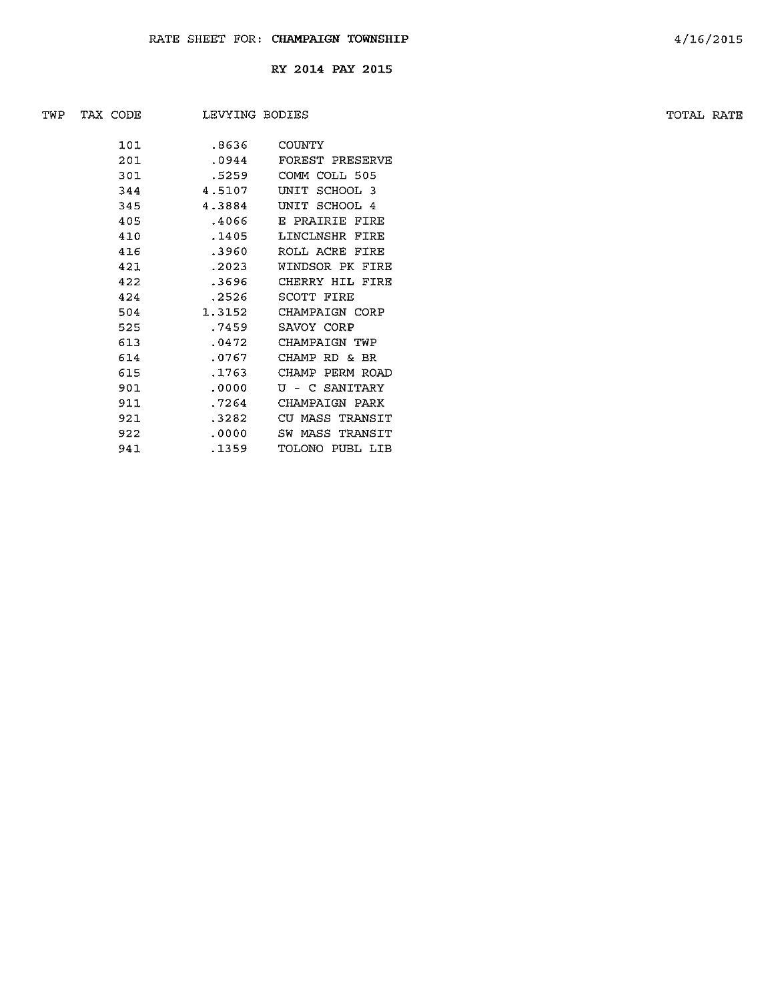| TWP | TAX CODE | LEVYING BODIES |                 | TOTAL RATE |  |
|-----|----------|----------------|-----------------|------------|--|
|     |          |                |                 |            |  |
|     | 101      | .8636          | COUNTY          |            |  |
|     | 201      | .0944          | FOREST PRESERVE |            |  |
|     | 301      | .5259          | COMM COLL 505   |            |  |
|     | 344      | 4.5107         | UNIT SCHOOL 3   |            |  |
|     | 345      | 4.3884         | UNIT SCHOOL 4   |            |  |
|     | 405      | .4066          | E PRAIRIE FIRE  |            |  |
|     | 410      | .1405          | LINCLNSHR FIRE  |            |  |
|     | 416      | .3960          | ROLL ACRE FIRE  |            |  |
|     | 421      | .2023          | WINDSOR PK FIRE |            |  |
|     | 422      | .3696          | CHERRY HIL FIRE |            |  |
|     | 424      | .2526          | SCOTT FIRE      |            |  |
|     | 504      | 1.3152         | CHAMPAIGN CORP  |            |  |
|     | 525      | .7459          | SAVOY CORP      |            |  |
|     | 613      | .0472          | CHAMPAIGN TWP   |            |  |
|     | 614      | .0767          | CHAMP RD & BR   |            |  |
|     | 615      | .1763          | CHAMP PERM ROAD |            |  |
|     | 901      | .0000          | U - C SANITARY  |            |  |
|     | 911      | .7264          | CHAMPAIGN PARK  |            |  |
|     | 921      | .3282          | CU MASS TRANSIT |            |  |
|     | 922      | .0000          | SW MASS TRANSIT |            |  |
|     | 941      | .1359          | TOLONO PUBL LIB |            |  |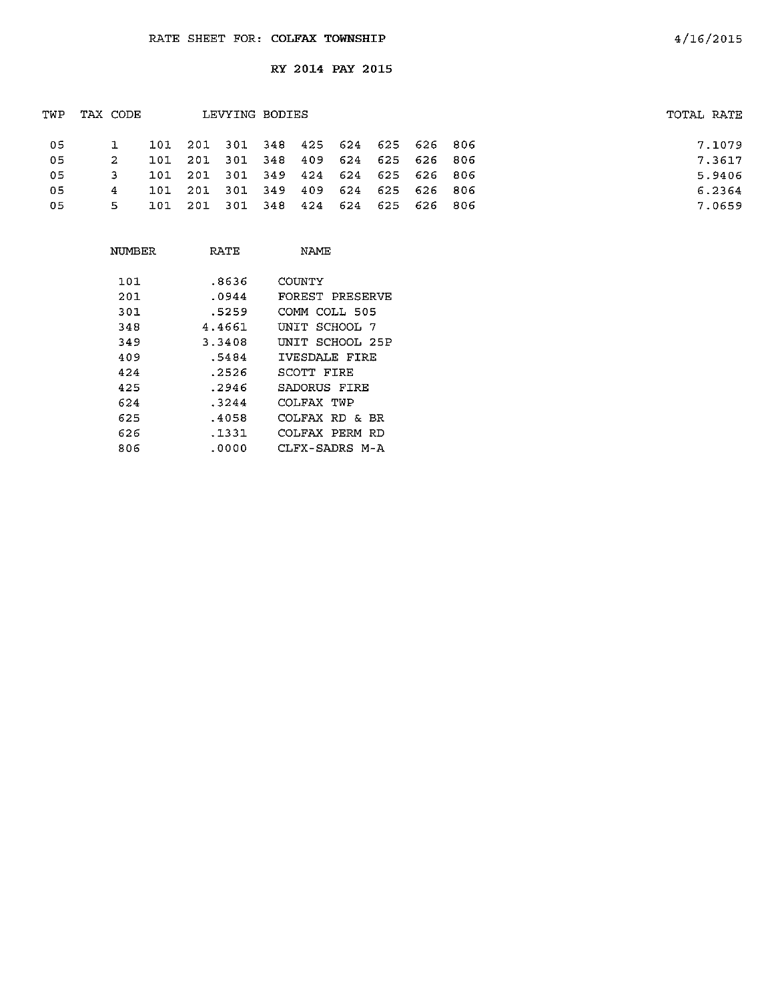| TWP | TAX CODE |       |                                     | LEVYING BODIES |  |  | TOTAL RATE |
|-----|----------|-------|-------------------------------------|----------------|--|--|------------|
| 05  |          |       | 101 201 301 348 425 624 625 626 806 |                |  |  | 7.1079     |
| -05 | -2       |       | 101 201 301 348 409 624 625 626 806 |                |  |  | 7.3617     |
| -05 | з.       | 101   | 201 301 349 424 624 625 626 806     |                |  |  | 5.9406     |
| 05  | 4        |       | 101 201 301 349 409 624 625 626 806 |                |  |  | 6.2364     |
| 05  | 5.       | -101- | 201 301 348 424 624 625 626 806     |                |  |  | 7.0659     |
|     |          |       |                                     |                |  |  |            |

| NUMBER | RATE   | NAMF            |
|--------|--------|-----------------|
| 101    | .8636  | COUNTY          |
| 201    | .0944  | FOREST PRESERVE |
| 301    | .5259  | COMM COLL 505   |
| 348    | 4.4661 | UNIT SCHOOL 7   |
| 349    | 3.3408 | UNIT SCHOOL 25P |
| 409    | .5484  | IVESDALE FIRE   |
| 424    | .2526  | SCOTT FIRE      |
| 425    | .2946  | SADORUS FIRE    |
| 624    | .3244  | COLFAX TWP      |
| 625    | .4058  | COLFAX RD & BR  |
| 626    | .1331  | COLFAX PERM RD  |
| 806    | .0000  | CLFX-SADRS M-A  |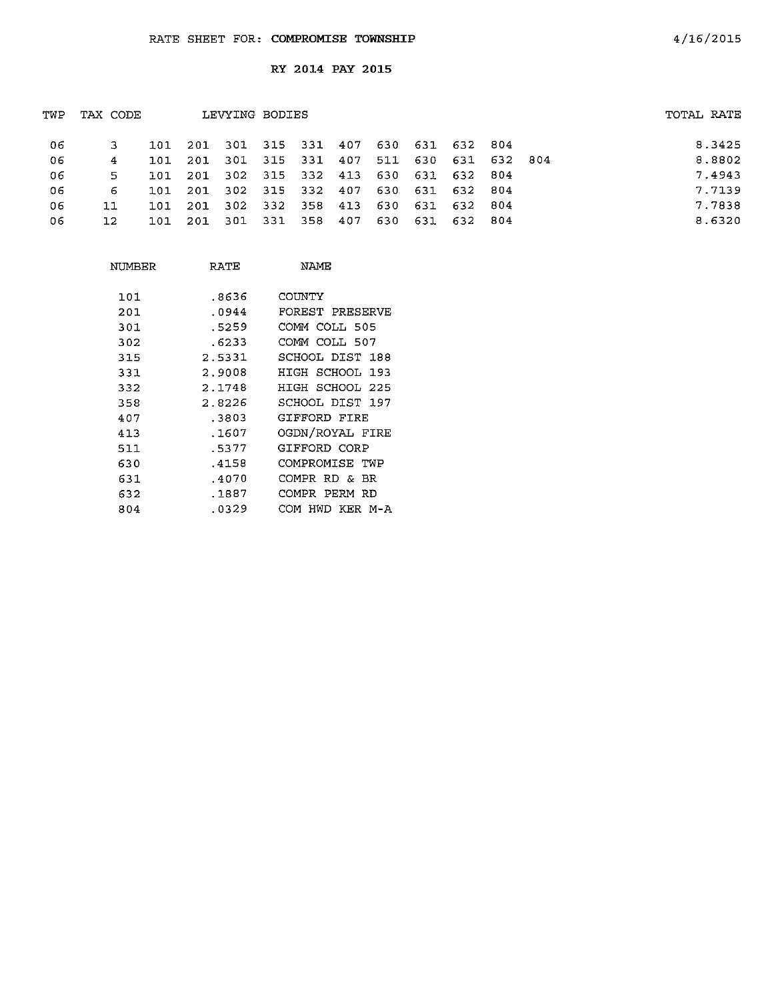| TWP | TAX CODE |            |     | LEVYING BODIES      |  |                                         |  | TOTAL RATE |        |
|-----|----------|------------|-----|---------------------|--|-----------------------------------------|--|------------|--------|
| -06 |          |            |     |                     |  | 101 201 301 315 331 407 630 631 632 804 |  |            | 8.3425 |
| -06 | 4        | 101        |     |                     |  | 201 301 315 331 407 511 630 631 632 804 |  |            | 8.8802 |
| -06 | 5        | <b>101</b> | 201 |                     |  | 302 315 332 413 630 631 632 804         |  |            | 7.4943 |
| 06  | 6.       | 101        |     |                     |  | 201 302 315 332 407 630 631 632 804     |  |            | 7.7139 |
| 06  | 11       | 101        |     |                     |  | 201 302 332 358 413 630 631 632 804     |  |            | 7.7838 |
| 06  | 12       | 101.       |     | 201 301 331 358 407 |  | 630 631 632 804                         |  |            | 8.6320 |
|     |          |            |     |                     |  |                                         |  |            |        |

| NUMBER | RATE   | NAME                  |
|--------|--------|-----------------------|
| 101    | .8636  | COUNTY                |
| 201    | .0944  | FOREST PRESERVE       |
| 301    | .5259  | COMM COLL 505         |
| 302    | .6233  | COMM COLL 507         |
| 315    | 2.5331 | SCHOOL DIST 188       |
| 331    | 2.9008 | HIGH SCHOOL 193       |
| 332    | 2.1748 | HIGH SCHOOL 225       |
| 358    | 2.8226 | SCHOOL DIST 197       |
| 407    | .3803  | GIFFORD FIRE          |
| 413    | .1607  | OGDN/ROYAL FIRE       |
| 511    | .5377  | GIFFORD CORP          |
| 630    | .4158  | COMPROMISE TWP        |
| 631    | .4070  | COMPR RD & BR         |
| 632    | .1887  | PERM<br>COMPR<br>RD   |
| 804    | .0329  | HWD<br>KER M-A<br>сом |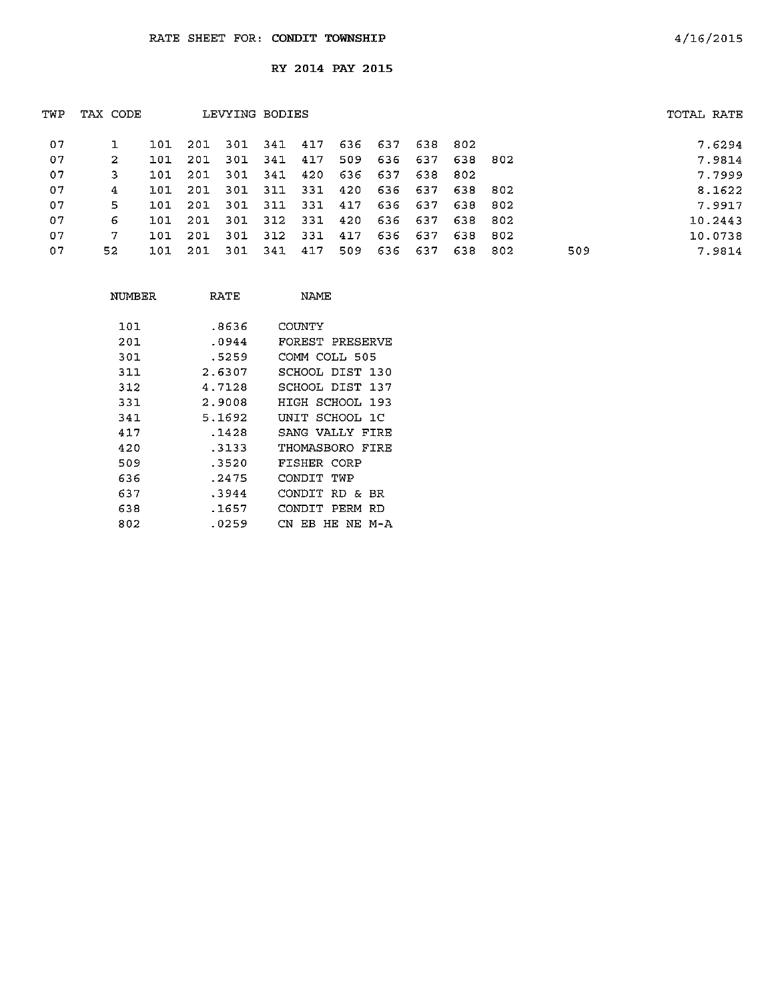| TWP | TAX CODE |     |                                     |      | LEVYING BODIES                  |       |     |         |         |         |     |     | TOTAL RATE |         |
|-----|----------|-----|-------------------------------------|------|---------------------------------|-------|-----|---------|---------|---------|-----|-----|------------|---------|
| 07  |          |     | 101 201 301 341 417 636 637 638 802 |      |                                 |       |     |         |         |         |     |     |            | 7.6294  |
| -07 | 2        | 101 | 201                                 | 301  | 341                             | 417   | 509 |         | 636 637 | 638 802 |     |     |            | 7.9814  |
| 07  | 3        | 101 | 201                                 | -301 | 341                             | 420   |     | 636 637 | 638     | - 802   |     |     |            | 7.7999  |
| 07  | 4        | 101 | 201                                 |      | 301 311 331 420 636 637 638 802 |       |     |         |         |         |     |     |            | 8.1622  |
| 07  | 5.       | 101 | 201                                 | 301  | 311                             | 331   | 417 |         | 636 637 | 638     | 802 |     |            | 7.9917  |
| 07  | 6        | 101 | 201                                 |      | 301 312 331                     |       | 420 |         | 636 637 | 638 802 |     |     |            | 10.2443 |
| 07  | 7        | 101 | 201                                 | 301  | 312                             | - 331 | 417 |         | 636 637 | 638     | 802 |     |            | 10.0738 |
| 07  | 52       | 101 | 201                                 | -301 | 341 417                         |       | 509 | 636     | - 637   | 638     | 802 | 509 |            | 7.9814  |
|     |          |     |                                     |      |                                 |       |     |         |         |         |     |     |            |         |

| NUMBER | RATE   | NAME            |
|--------|--------|-----------------|
| 101    | .8636  | COUNTY          |
| 201    | .0944  | FOREST PRESERVE |
| 301    | .5259  | COMM COLL 505   |
| 311    | 2.6307 | SCHOOL DIST 130 |
| 312    | 4.7128 | SCHOOL DIST 137 |
| 331    | 2.9008 | HIGH SCHOOL 193 |
| 341    | 5.1692 | UNIT SCHOOL 1C  |
| 417    | .1428  | SANG VALLY FIRE |
| 420    | .3133  | THOMASBORO FIRE |
| 509    | .3520  | FISHER CORP     |
| 636    | .2475  | CONDIT TWP      |
| 637    | .3944  | CONDIT RD & BR  |
| 638    | .1657  | CONDIT PERM RD  |
| 802    | .0259  | CN EB HE NE M-A |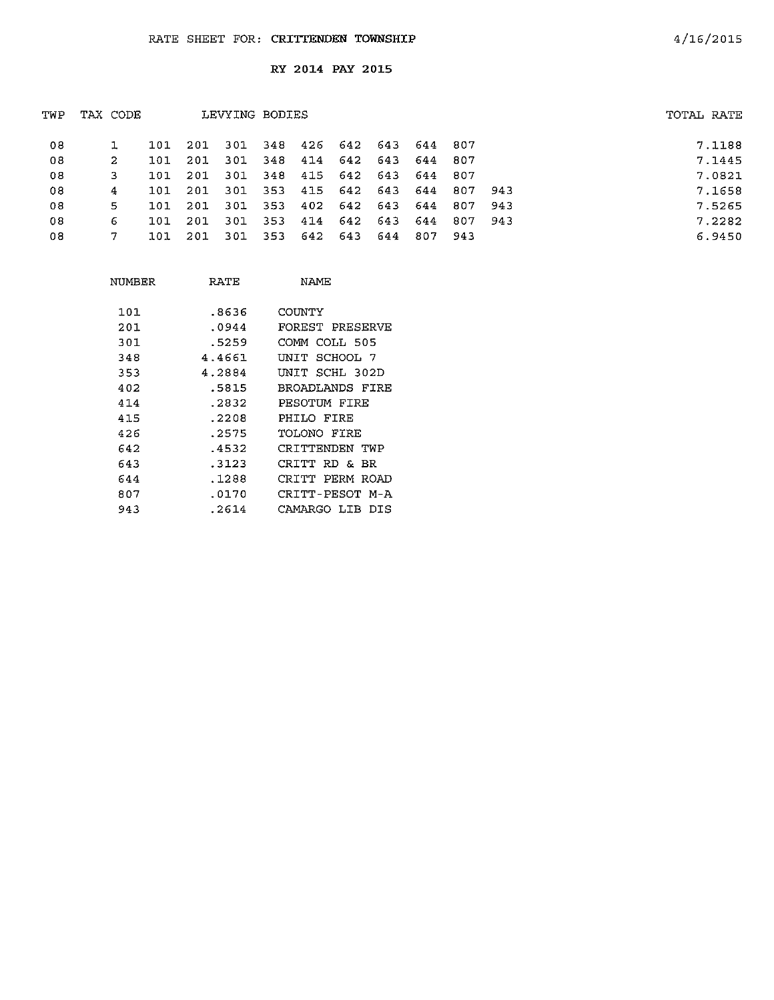| TWP | TAX CODE |      |      | LEVYING BODIES |     |             |                             |     |         |                     |       | TOTAL RATE |  |
|-----|----------|------|------|----------------|-----|-------------|-----------------------------|-----|---------|---------------------|-------|------------|--|
| 08  |          | 101  | 201  |                |     |             | 301 348 426 642 643 644 807 |     |         |                     |       | 7.1188     |  |
| 08  | -2.      | 101  | -201 | 301            | 348 | 414         | 642 643 644 807             |     |         |                     |       | 7.1445     |  |
| 08  | 3        | 101  | -201 | -301           |     |             | 348 415 642 643 644 807     |     |         |                     |       | 7.0821     |  |
| 08  | 4        | 101  | 201  | 301            | 353 |             |                             |     |         | 415 642 643 644 807 | 943   | 7.1658     |  |
| 08  | 5.       | 101. | 201  | -301           | 353 |             | 402 642 643 644             |     |         | - 807               | -943  | 7.5265     |  |
| 08  | 6        | 101  | 201  | 301            | 353 | 414         | 642 643 644                 |     |         | 807                 | - 943 | 7.2282     |  |
| 08  |          | 101  | -201 | -301           |     | 353 642 643 |                             | 644 | 807 943 |                     |       | 6.9450     |  |
|     |          |      |      |                |     |             |                             |     |         |                     |       |            |  |

| NUMBER | RATE   | NAME               |
|--------|--------|--------------------|
| 101    | .8636  | COUNTY             |
| 201    | .0944  | FOREST PRESERVE    |
| 301    | .5259  | COMM COLL 505      |
| 348    | 4.4661 | SCHOOL 7<br>UNTT   |
| 353    | 4.2884 | SCHL 302D<br>UNTT  |
| 402    | .5815  | BROADLANDS FIRE    |
| 414    | .2832  | PESOTUM FIRE       |
| 415    | .2208  | PHILO FIRE         |
| 426    | . 2575 | TOLONO FIRE        |
| 642    | .4532  | CRITTENDEN TWP     |
| 643    | . 3123 | CRITT RD &<br>вR   |
| 644    | . 1288 | CRITT PERM ROAD    |
| 807    | .0170  | CRITT-PESOT M-A    |
| 943    | .2614  | CAMARGO LIB<br>DTS |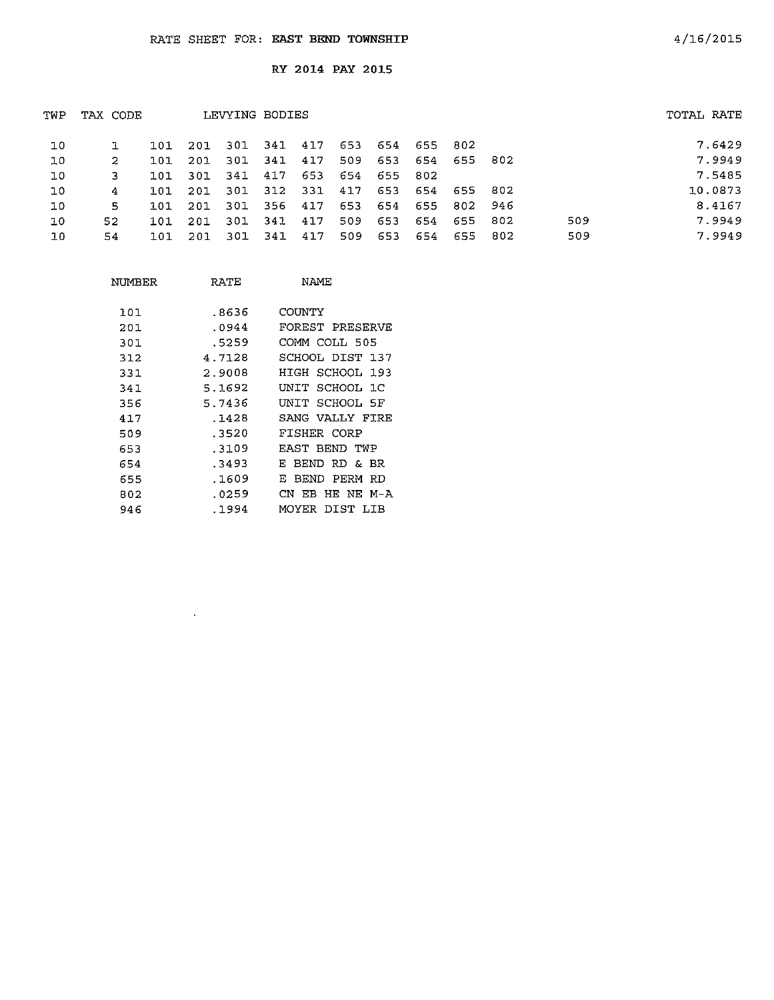| TWP | TAX CODE | LEVYING BODIES |      |      |      |     | TOTAL RATE |     |     |         |     |     |         |
|-----|----------|----------------|------|------|------|-----|------------|-----|-----|---------|-----|-----|---------|
| 10  |          | 101            | 201  | 301  | 341  | 417 | 653        | 654 | 655 | -802    |     |     | 7.6429  |
| 10  | 2        | 101            | 201  | 301  | 341  | 417 | 509        | 653 | 654 | 655 802 |     |     | 7.9949  |
| 10  | з        | 101            | -301 | 341  | 417  | 653 | 654        | 655 | 802 |         |     |     | 7.5485  |
| 10  | 4        | 101            | 201  | 301  | 312  | 331 | 417        | 653 | 654 | 655 802 |     |     | 10.0873 |
| 10  | 5        | 101            | 201  | 301  | -356 | 417 | 653        | 654 | 655 | 802 946 |     |     | 8.4167  |
| 10  | 52.      | 101            | 201  | -301 | 341  | 417 | 509        | 653 | 654 | 655     | 802 | 509 | 7.9949  |
| 10  | 54       | 101            | 201  | -301 | 341  | 417 | 509        | 653 | 654 | 655     | 802 | 509 | 7.9949  |
|     |          |                |      |      |      |     |            |     |     |         |     |     |         |

| NUMBER | RATE   | NAME                  |
|--------|--------|-----------------------|
|        |        |                       |
| 101    | .8636  | COUNTY                |
| 201    | .0944  | FOREST PRESERVE       |
| 301    | .5259  | COMM COLL 505         |
| 312    | 4.7128 | SCHOOL DIST 137       |
| 331    | 2.9008 | HIGH SCHOOL 193       |
| 341    | 5.1692 | UNIT SCHOOL 1C        |
| 356    | 5.7436 | INIT SCHOOL 5F        |
| 417    | .1428  | SANG VALLY FIRE       |
| 509    | .3520  | FISHER CORP           |
| 653    | . 3109 | FAST BEND TWP         |
| 654    | .3493  | RD & BR<br>F<br>BEND. |
| 655    | .1609  | BEND PERM<br>Е<br>RD  |
| 802    | .0259  | CN FB HE NE M-A       |
| 946    | .1994  | DIST LIB<br>MOYER     |

 $\sim 10^4$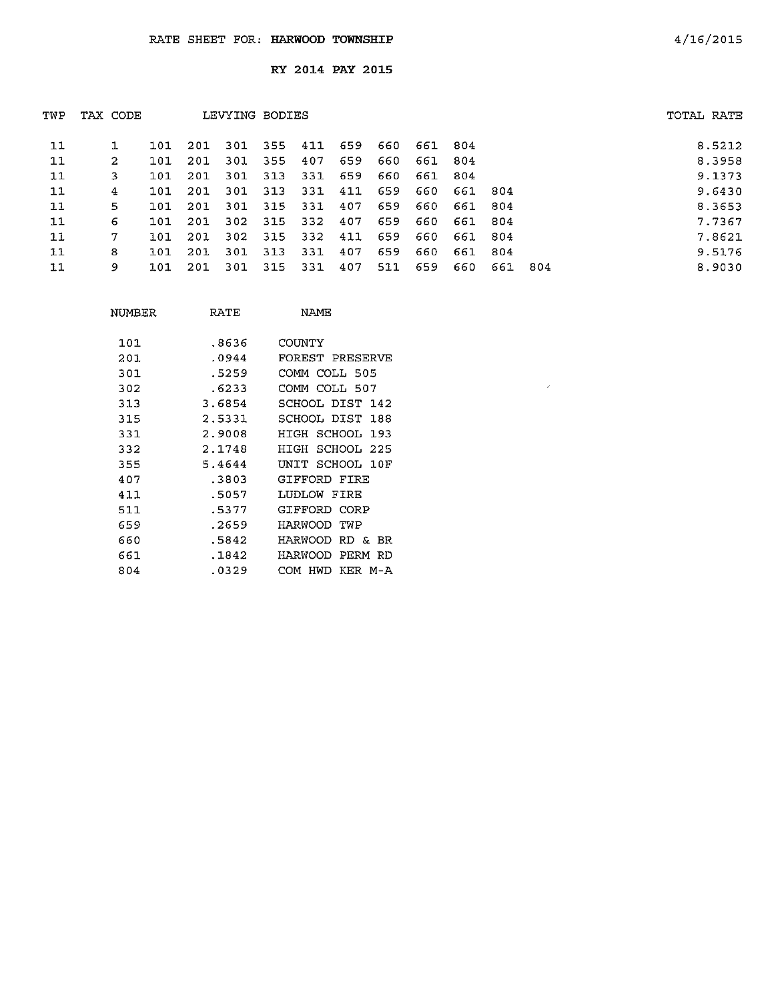| TWP | TAX CODE |      |      |      | LEVYING BODIES |         |     |     |     |         |      |      | TOTAL RATE |
|-----|----------|------|------|------|----------------|---------|-----|-----|-----|---------|------|------|------------|
| 11  |          | 101  | 201  | 301  | 355            | 411     | 659 | 660 | 661 | -804    |      |      | 8.5212     |
| 11  | 2        | 101  | -201 | -301 | 355            | 407     | 659 | 660 | 661 | -804    |      |      | 8.3958     |
| 11  | 3        | 101  | 201  | 301  | 313            | 331     | 659 | 660 | 661 | -804    |      |      | 9.1373     |
| 11  | 4        | 101  | 201  | 301  | 313            | 331     | 411 | 659 | 660 | 661 804 |      |      | 9.6430     |
| 11  | 5        | 101  | 201  | 301  |                | 315 331 | 407 | 659 | 660 | 661     | -804 |      | 8.3653     |
| 11  | 6        | 101  | 201  | 302  | 315            | -332    | 407 | 659 | 660 | 661     | -804 |      | 7.7367     |
| 11  | 7        | 101. | 201  | 302  | 315            | 332     | 411 | 659 | 660 | 661 804 |      |      | 7.8621     |
| 11  | 8        | 101  | 201  | 301  | 313            | 331     | 407 | 659 | 660 | 661     | 804  |      | 9.5176     |
| 11  | 9        | 101  | 201  | 301  | 315            | 331     | 407 | 511 | 659 | 660     | 661  | -804 | 8.9030     |

 $\mathcal{A}$ 

| NUMBER | RATE   | NAME                         |
|--------|--------|------------------------------|
| 101    | -8636  | COUNTY                       |
| 201    | .0944  | FOREST PRESERVE              |
| 301    | .5259  | СОММ<br>COLL 505             |
| 302    | .6233  | COLL 507<br>COMM             |
| 313    | 3.6854 | SCHOOL DIST 142              |
| 315    | 2.5331 | SCHOOL DIST<br>188           |
| 331    | 2.9008 | HTGH SCHOOL 193              |
| 332    | 2.1748 | SCHOOL 225<br>HIGH           |
| 355    | 5.4644 | SCHOOL 10F<br>UNIT           |
| 407    | 3803   | GIFFORD FIRR                 |
| 411    | .5057  | LUDLOW FIRE                  |
| 511    | .5377  | GIFFORD<br>CORP              |
| 659    | .2659  | HARWOOD<br>TWP               |
| 660    | .5842  | HARWOOD<br>RD &<br>BR.       |
| 661    | .1842  | PERM<br><b>RD</b><br>HARWOOD |
| 804    | .0329  | KER<br>сом<br>HWD<br>$M - A$ |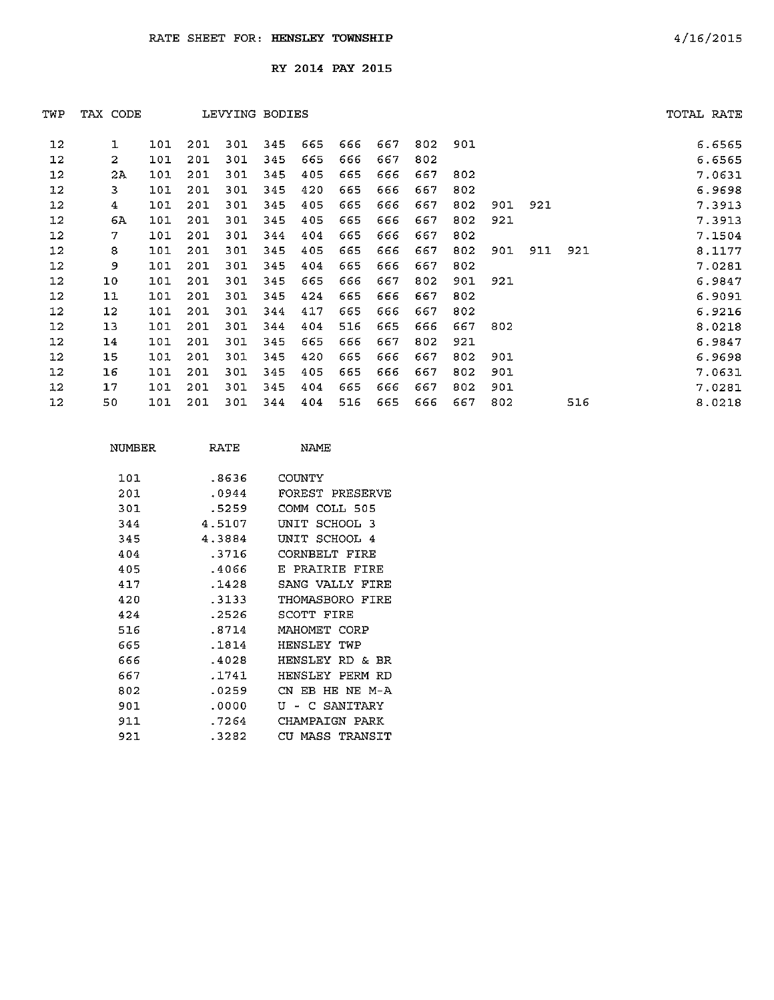| TWP     | TAX CODE |     |     | LEVYING BODIES |     |     |     |     |     |     |     |     |     | TOTAL RATE |        |
|---------|----------|-----|-----|----------------|-----|-----|-----|-----|-----|-----|-----|-----|-----|------------|--------|
| 12      | 1        | 101 | 201 | 301            | 345 | 665 | 666 | 667 | 802 | 901 |     |     |     |            | 6.6565 |
| 12      | 2        | 101 | 201 | 301            | 345 | 665 | 666 | 667 | 802 |     |     |     |     |            | 6.6565 |
| 12      | 2A       | 101 | 201 | 301            | 345 | 405 | 665 | 666 | 667 | 802 |     |     |     |            | 7.0631 |
| 12      | 3        | 101 | 201 | 301            | 345 | 420 | 665 | 666 | 667 | 802 |     |     |     |            | 6.9698 |
| 12      | 4        | 101 | 201 | 301            | 345 | 405 | 665 | 666 | 667 | 802 | 901 | 921 |     |            | 7.3913 |
| 12      | 6A       | 101 | 201 | 301            | 345 | 405 | 665 | 666 | 667 | 802 | 921 |     |     |            | 7.3913 |
| 12      | 7        | 101 | 201 | 301            | 344 | 404 | 665 | 666 | 667 | 802 |     |     |     |            | 7.1504 |
| 12      | 8        | 101 | 201 | 301            | 345 | 405 | 665 | 666 | 667 | 802 | 901 | 911 | 921 |            | 8.1177 |
| 12      | 9        | 101 | 201 | 301            | 345 | 404 | 665 | 666 | 667 | 802 |     |     |     |            | 7.0281 |
| 12      | 10       | 101 | 201 | 301            | 345 | 665 | 666 | 667 | 802 | 901 | 921 |     |     |            | 6.9847 |
| 12      | $11$     | 101 | 201 | 301            | 345 | 424 | 665 | 666 | 667 | 802 |     |     |     |            | 6.9091 |
| $12 \,$ | $12 \,$  | 101 | 201 | 301            | 344 | 417 | 665 | 666 | 667 | 802 |     |     |     |            | 6.9216 |
| 12      | 13       | 101 | 201 | 301            | 344 | 404 | 516 | 665 | 666 | 667 | 802 |     |     |            | 8.0218 |
| 12      | 14       | 101 | 201 | 301            | 345 | 665 | 666 | 667 | 802 | 921 |     |     |     |            | 6.9847 |
| 12      | 15       | 101 | 201 | 301            | 345 | 420 | 665 | 666 | 667 | 802 | 901 |     |     |            | 6.9698 |
| 12      | 16       | 101 | 201 | 301            | 345 | 405 | 665 | 666 | 667 | 802 | 901 |     |     |            | 7.0631 |
| 12      | 17       | 101 | 201 | 301            | 345 | 404 | 665 | 666 | 667 | 802 | 901 |     |     |            | 7.0281 |
| 12      | 50       | 101 | 201 | 301            | 344 | 404 | 516 | 665 | 666 | 667 | 802 |     | 516 |            | 8.0218 |
|         |          |     |     |                |     |     |     |     |     |     |     |     |     |            |        |

| NUMBER | RATE   | <b>NAMF</b>            |
|--------|--------|------------------------|
| 101    | .8636  | COUNTY                 |
| 201    | .0944  | FOREST PRESERVE        |
| 301    | .5259  | COMM COLL 505          |
| 344    | 4.5107 | דדותז<br>SCHOOL 3      |
| 345    | 43884  | SCHOOL<br>י דת א<br>-4 |
| 404    | . 3716 | CORNBELT FIRE          |
| 405    | -4066  | PRATRTE<br>FTRE<br>E.  |
| 417    | .1428  | SANG VALLY FIRE        |
| 420    | -3133  | THOMASBORO FIRE        |
| 424    | . 2526 | SCOTT FIRE             |
| 516    | .8714  | MAHOMET CORP           |
| 665    | .1814  | HENSLEY<br>TWP         |
| 666    | .4028  | HENSLEY<br>RD &<br>-RR |
| 667    | .1741  | HENSLEY<br>PFRM RD     |
| 802    | .0259  | CN.<br>EB HE NE M-A    |
| 901    | . 0000 | - C SANITARY<br>τT     |
| 911    | . 7264 | CHAMPATGN<br>PARK      |
| 921.   | .3282  | CIL<br>MASS TRANSIT    |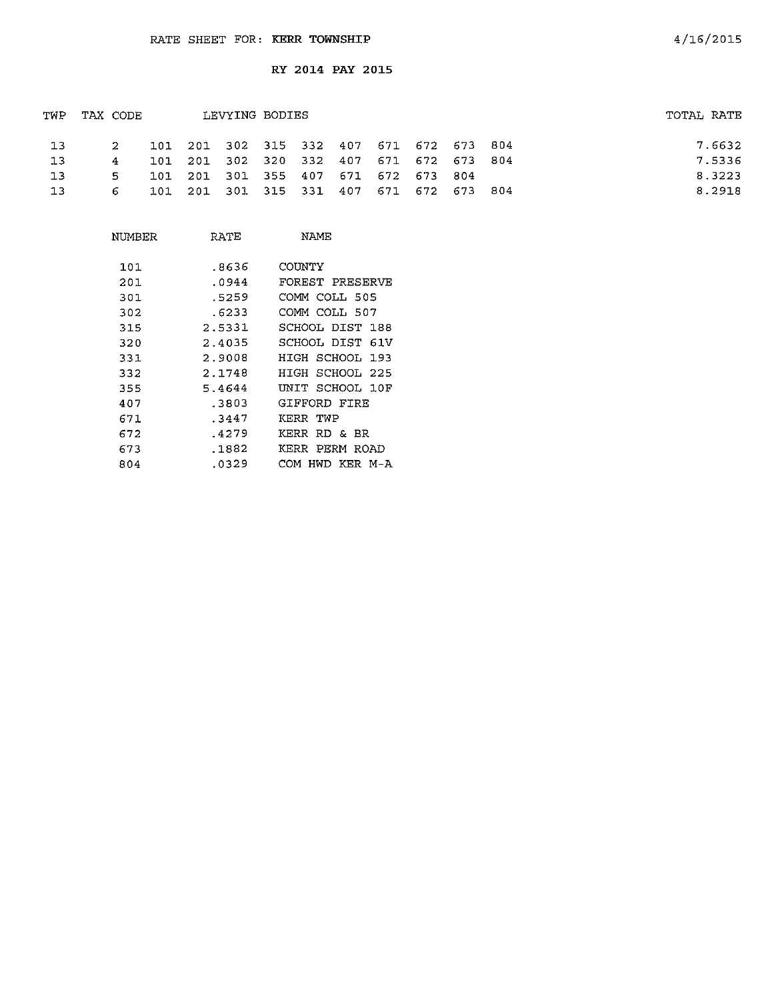| TWP TAX CODE |                |  |                                         | LEVYING BODIES |  |  |  |  |  |  |        | TOTAL RATE |
|--------------|----------------|--|-----------------------------------------|----------------|--|--|--|--|--|--|--------|------------|
| 13           | -2             |  | 101 201 302 315 332 407 671 672 673 804 |                |  |  |  |  |  |  | 7.6632 |            |
| -13          | $\overline{4}$ |  | 101 201 302 320 332 407 671 672 673 804 |                |  |  |  |  |  |  | 7.5336 |            |
| 13           |                |  | 101 201 301 355 407 671 672 673 804     |                |  |  |  |  |  |  | 8.3223 |            |
| 13           | 6.             |  | 101 201 301 315 331 407 671 672 673 804 |                |  |  |  |  |  |  | 8.2918 |            |

| NUMBER | RATE   | NAMF                     |
|--------|--------|--------------------------|
| 101    | .8636  | COUNTY                   |
| 201    | .0944  | FOREST PRESERVE          |
| 301    | .5259  | COMM COLL 505            |
| 302    | .6233  | COMM COLL 507            |
| 315    | 2.5331 | SCHOOL DIST 188          |
| 320    | 2.4035 | SCHOOL DIST<br>61V       |
| 331    | 2.9008 | HIGH SCHOOL.<br>193      |
| 332    | 2.1748 | SCHOOL 225<br>HTGH       |
| 355    | 5.4644 | UNIT SCHOOL 10F          |
| 407    | .3803  | GIFFORD FIRE             |
| 671    | .3447  | KERR TWP                 |
| 672    | .4279  | KERR<br>RD & BR          |
| 673    | .1882  | PERM ROAD<br><b>KERR</b> |
| 804    | .0329  | HWD KFR M-A<br>СОМ       |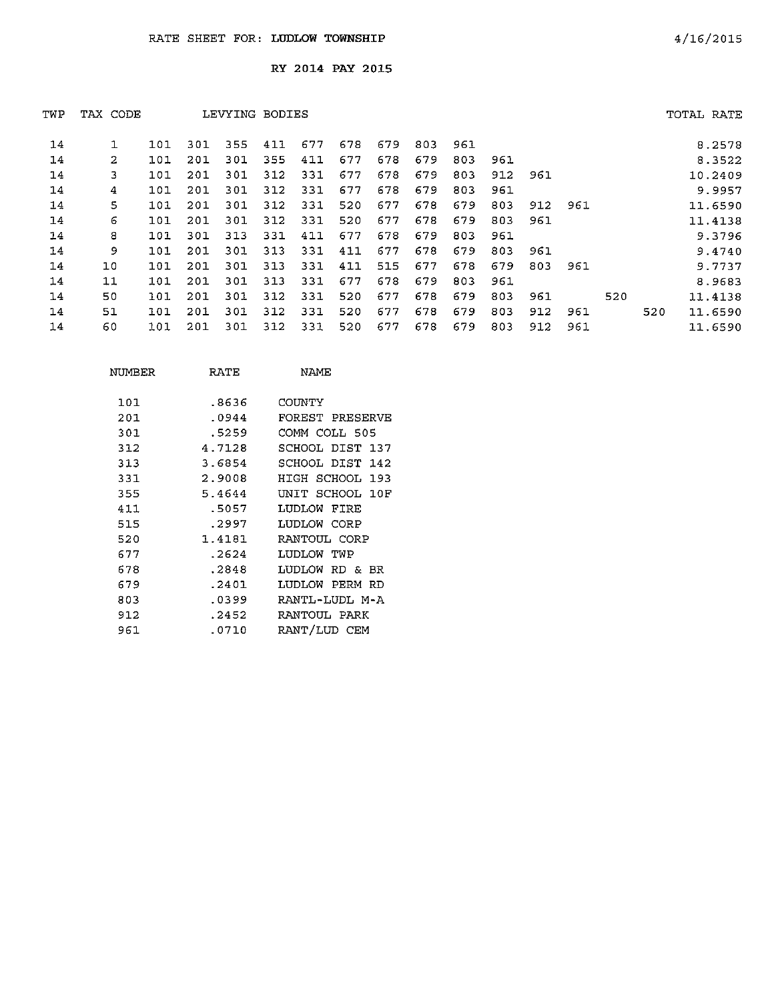| TWP | TAX CODE |     |     | LEVYING BODIES |     |     |     |     |     |     |     |     |     |     |     | TOTAL RATE |
|-----|----------|-----|-----|----------------|-----|-----|-----|-----|-----|-----|-----|-----|-----|-----|-----|------------|
| 14  | 1        | 101 | 301 | 355            | 411 | 677 | 678 | 679 | 803 | 961 |     |     |     |     |     | 8.2578     |
| 14  | 2        | 101 | 201 | 301            | 355 | 411 | 677 | 678 | 679 | 803 | 961 |     |     |     |     | 8.3522     |
| 14  | 3        | 101 | 201 | 301            | 312 | 331 | 677 | 678 | 679 | 803 | 912 | 961 |     |     |     | 10.2409    |
| 14  | 4        | 101 | 201 | 301            | 312 | 331 | 677 | 678 | 679 | 803 | 961 |     |     |     |     | 9.9957     |
| 14  | 5        | 101 | 201 | 301            | 312 | 331 | 520 | 677 | 678 | 679 | 803 | 912 | 961 |     |     | 11.6590    |
| 14  | 6        | 101 | 201 | 301            | 312 | 331 | 520 | 677 | 678 | 679 | 803 | 961 |     |     |     | 11.4138    |
| 14  | 8        | 101 | 301 | 313            | 331 | 411 | 677 | 678 | 679 | 803 | 961 |     |     |     |     | 9.3796     |
| 14  | 9        | 101 | 201 | 301            | 313 | 331 | 411 | 677 | 678 | 679 | 803 | 961 |     |     |     | 9.4740     |
| 14  | 10       | 101 | 201 | 301            | 313 | 331 | 411 | 515 | 677 | 678 | 679 | 803 | 961 |     |     | 9.7737     |
| 14  | 11       | 101 | 201 | 301            | 313 | 331 | 677 | 678 | 679 | 803 | 961 |     |     |     |     | 8.9683     |
| 14  | 50       | 101 | 201 | 301            | 312 | 331 | 520 | 677 | 678 | 679 | 803 | 961 |     | 520 |     | 11.4138    |
| 14  | 51       | 101 | 201 | 301            | 312 | 331 | 520 | 677 | 678 | 679 | 803 | 912 | 961 |     | 520 | 11.6590    |
| 14  | 60       | 101 | 201 | 301            | 312 | 331 | 520 | 677 | 678 | 679 | 803 | 912 | 961 |     |     | 11.6590    |
|     |          |     |     |                |     |     |     |     |     |     |     |     |     |     |     |            |

| NUMBER | RATE   | NAME.           |
|--------|--------|-----------------|
| 101    | .8636  | COUNTY          |
| 201    | .0944  | FOREST PRESERVE |
| 301    | .5259  | COMM COLL 505   |
| 312    | 4.7128 | SCHOOL DIST 137 |
| 313    | 3.6854 | SCHOOL DIST 142 |
| 331    | 2.9008 | HIGH SCHOOL 193 |
| 355    | 5.4644 | UNIT SCHOOL 10F |
| 411    | .5057  | LUDLOW FIRE     |
| 515    | .2997  | TIDIOW CORP     |
| 520    | 1.4181 | RANTOUL CORP    |
| 677    | .2624  | LUDLOW TWP      |
| 678    | .2848  | LUDLOW RD & BR  |
| 679    | .2401  | LUDLOW PERM RD  |
| 803    | .0399  | RANTL-LUDL M-A  |
| 912    | .2452  | RANTOUL PARK    |
| 961    | .0710  | RANT/LUD CEM    |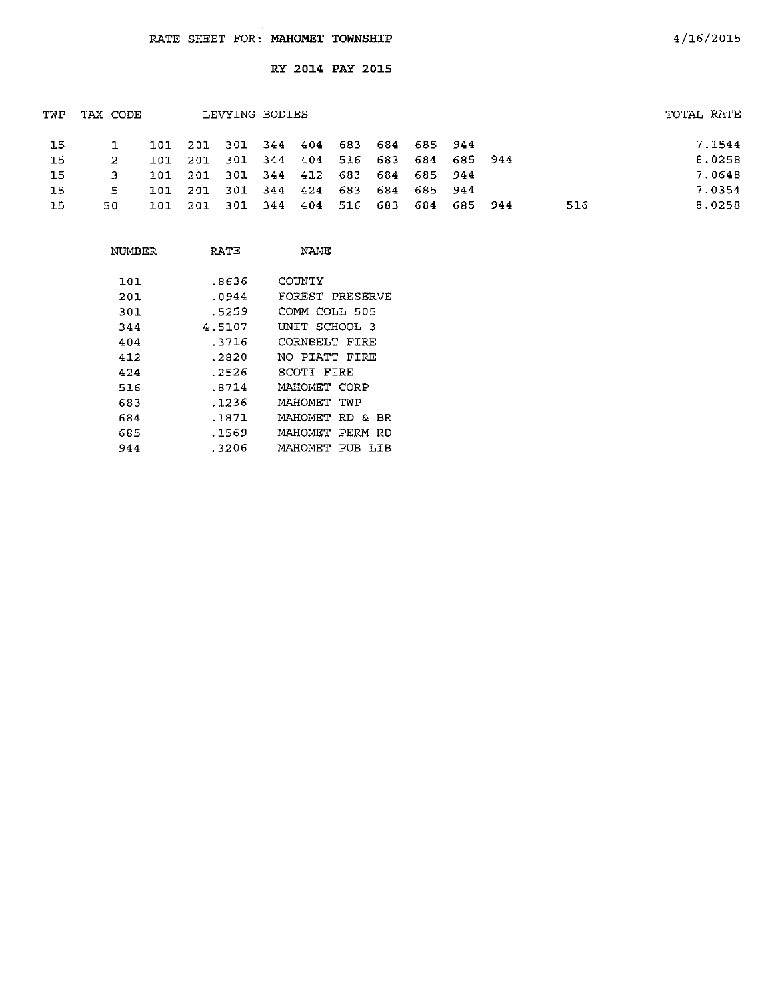| TWP | TAX CODE |            |                         |       | LEVYING BODIES |             |         |                     |         |     | TOTAL RATE |        |
|-----|----------|------------|-------------------------|-------|----------------|-------------|---------|---------------------|---------|-----|------------|--------|
| 15  |          |            | 101 201 301 344 404     |       |                |             |         | 683 684 685 944     |         |     |            | 7.1544 |
| -15 |          | 101        | 201                     | - 301 | 344 404        |             |         | 516 683 684 685 944 |         |     |            | 8.0258 |
| -15 | 3        |            | 101 201 301 344 412 683 |       |                |             |         | 684 685 944         |         |     |            | 7.0648 |
| 15  | 5.       | <b>101</b> | 201                     | 301   |                | 344 424 683 |         | 684 685 944         |         |     |            | 7.0354 |
| 15  | 50       | 101        | - 201                   | - 301 | 344            | 404         | 516 683 | 684                 | 685 944 | 516 |            | 8.0258 |
|     |          |            |                         |       |                |             |         |                     |         |     |            |        |

| NUMBER | RATE   | NAME.                   |
|--------|--------|-------------------------|
| 101    | .8636  | COUNTY                  |
| 201    | .0944  | FOREST PRESERVE         |
| 301    | .5259  | СОММ СОЪЬ 505           |
| 344    | 4.5107 | UNIT SCHOOL 3           |
| 404    | .3716  | CORNBELT FIRE           |
| 412    | .2820  | NO PIATT FIRE           |
| 424    | . 2526 | SCOTT FIRE              |
| 516    | .8714  | MAHOMET CORP            |
| 683    | . 1236 | MAHOMET TWP             |
| 684    | .1871  | MAHOMET<br>RD & BR      |
| 685    | .1569  | MAHOMET PERM RD         |
| 944    | .3206  | MAHOMET<br>PUB<br>T T B |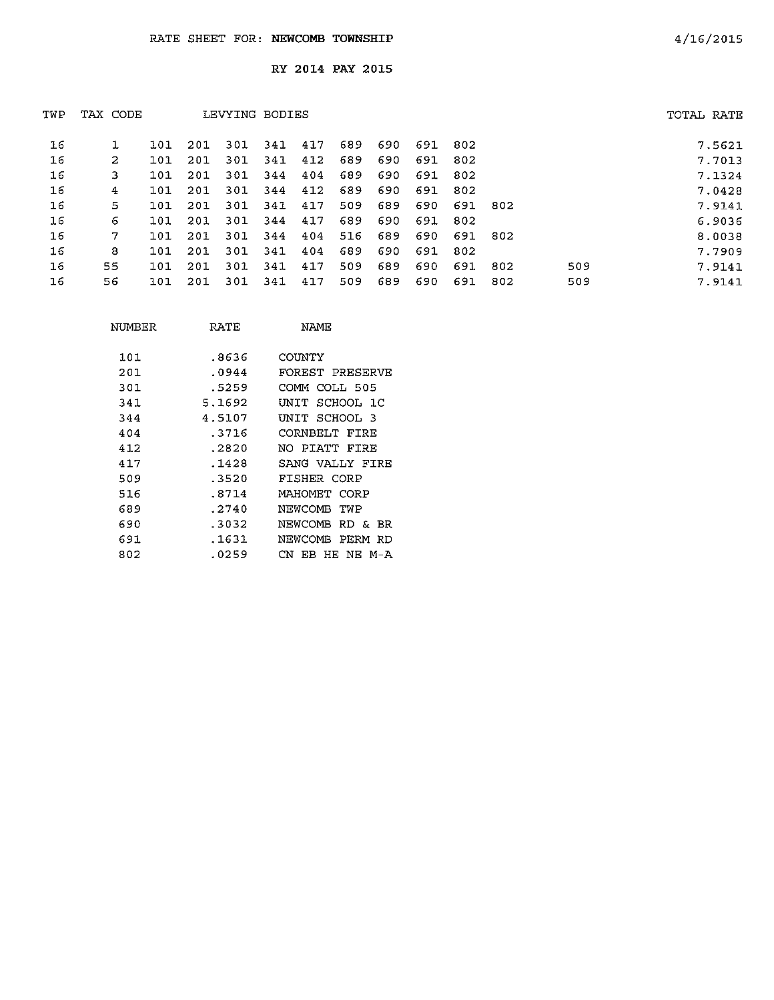|    |     |          |      |     |     | TOTAL RATE     |     |     |     |     |     |        |
|----|-----|----------|------|-----|-----|----------------|-----|-----|-----|-----|-----|--------|
|    | 101 | 201      | 301  | 341 | 417 | 689            | 690 | 691 | 802 |     |     | 7.5621 |
| 2  | 101 | 201      | 301  | 341 | 412 | 689            | 690 | 691 | 802 |     |     | 7.7013 |
| 3  | 101 | 201      | 301  | 344 | 404 | 689            | 690 | 691 | 802 |     |     | 7.1324 |
| 4  | 101 | 201      | -301 | 344 | 412 | 689            | 690 | 691 | 802 |     |     | 7.0428 |
| 5. | 101 | 201      | 301  | 341 | 417 | 509            | 689 | 690 | 691 | 802 |     | 7.9141 |
| 6  | 101 | 201      | 301  | 344 | 417 | 689            | 690 | 691 | 802 |     |     | 6.9036 |
| 7  | 101 | 201      | 301  | 344 | 404 | 516            | 689 | 690 | 691 | 802 |     | 8.0038 |
| 8  | 101 | 201      | 301  | 341 | 404 | 689            | 690 | 691 | 802 |     |     | 7.7909 |
| 55 | 101 | 201      | 301  | 341 | 417 | 509            | 689 | 690 | 691 | 802 | 509 | 7.9141 |
| 56 | 101 | 201      | 301  | 341 | 417 | 509            | 689 | 690 | 691 | 802 | 509 | 7.9141 |
|    |     | TAX CODE |      |     |     | LEVYING BODIES |     |     |     |     |     |        |

| NUMBER | RATE   | NAME.                 |
|--------|--------|-----------------------|
| 101    | .8636  | COUNTY                |
| 201    | .0944  | FOREST PRESERVE       |
| 301    | .5259  | COMM COLL 505         |
| 341    | 5.1692 | UNIT SCHOOL 1C        |
| 344    | 4.5107 | INIT SCHOOL 3         |
| 404    | - 3716 | CORNBELT FIRE         |
| 412    | .2820  | NO PIATT FIRE         |
| 417    | .1428  | SANG VALLY FIRE       |
| 509    | .3520  | FISHER CORP           |
| 516    | .8714  | MAHOMET CORP          |
| 689    | .2740  | NEWCOMB<br>TWP        |
| 690    | .3032  | NEWCOMB RD & BR       |
| 691    | .1631  | NEWCOME<br>PERM<br>RD |
| 802    | .0259  | CN<br>EB HE NE M-A    |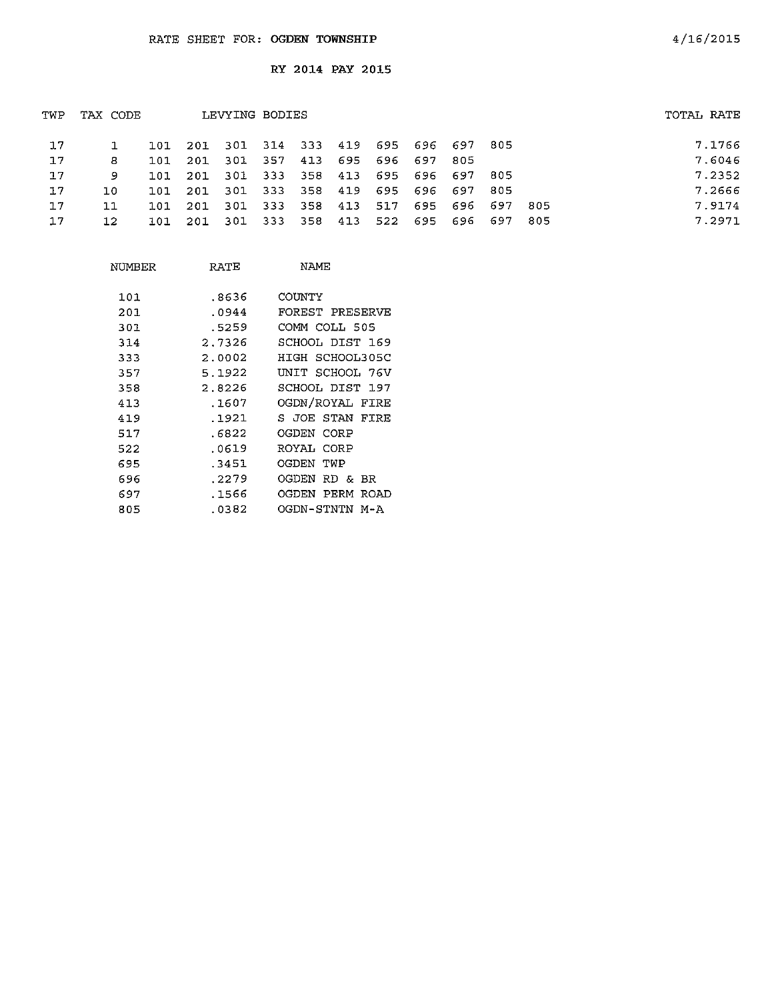| TWP | TAX CODE |     | LEVYING BODIES                          | TOTAL RATE      |  |                 |                                 |      |  |        |
|-----|----------|-----|-----------------------------------------|-----------------|--|-----------------|---------------------------------|------|--|--------|
| 17  |          |     | 101 201 301 314 333 419 695 696 697 805 |                 |  |                 |                                 |      |  | 7.1766 |
| 17  | 8        | 101 | 201                                     | 301 357         |  | 413 695 696 697 | -805                            |      |  | 7.6046 |
| 17  | 9        | 101 | 201 301 333 358 413 695 696 697 805     |                 |  |                 |                                 |      |  | 7.2352 |
| 17  | 1.O      | ומו | 201                                     |                 |  |                 | 301 333 358 419 695 696 697 805 |      |  | 7.2666 |
| 17  | 11       | 101 | 201                                     | 301 333 358 413 |  |                 | 517 695 696 697                 | -805 |  | 7.9174 |
| 17  | 12.      | 101 | 201 301 333 358 413                     |                 |  |                 | 522 695 696 697                 | -805 |  | 7.2971 |
|     |          |     |                                         |                 |  |                 |                                 |      |  |        |

| NUMBER | RATE   | NAME                  |
|--------|--------|-----------------------|
| 101    | .8636  | COUNTY                |
| 201    | .0944  | FOREST PRESERVE       |
| 301    | .5259  | COMM COLL 505         |
| 314    | 2.7326 | SCHOOL DIST 169       |
| 333    | 2.0002 | HIGH SCHOOL305C       |
| 357    | 5.1922 | UNIT SCHOOL 76V       |
| 358    | 2.8226 | SCHOOL DIST 197       |
| 413    | .1607  | OGDN/ROYAL FIRE       |
| 419    | .1921  | S JOE STAN<br>FIRE    |
| 517    | .6822  | OGDEN CORP            |
| 522    | .0619  | ROYAL CORP            |
| 695    | .3451  | OGDEN TWP             |
| 696    | .2279  | OGDEN RD &<br>вR      |
| 697    | .1566  | OGDEN<br>PERM<br>ROAD |
| 805    | .0382  | OGDN-STNTN M-A        |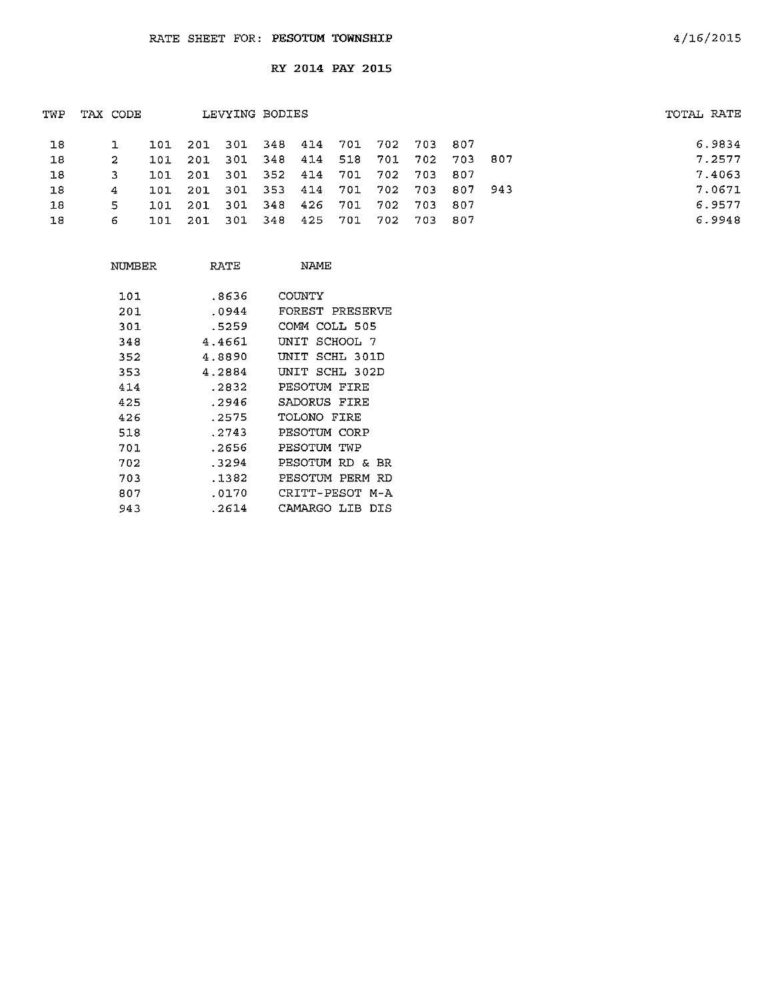| TWP | TAX CODE |       |                                     | LEVYING BODIES              |  |  |             |                                 | TOTAL RATE |
|-----|----------|-------|-------------------------------------|-----------------------------|--|--|-------------|---------------------------------|------------|
| 18  |          |       | 101 201 301 348 414 701 702 703 807 |                             |  |  |             |                                 | 6.9834     |
| 18  |          | 101   | 201                                 |                             |  |  |             | 301 348 414 518 701 702 703 807 | 7.2577     |
| 18  |          | 1.01. | - 201                               | 301 352 414 701 702 703 807 |  |  |             |                                 | 7.4063     |
| 18  | 4        | 101   | - 201                               |                             |  |  |             | 301 353 414 701 702 703 807 943 | 7.0671     |
| 18  | 5.       | 101   | 201                                 | 301 348 426 701             |  |  | 702 703 807 |                                 | 6.9577     |
| 18  | 6        | 101   | - 201                               | 301 348 425 701             |  |  | 702 703 807 |                                 | 6.9948     |
|     |          |       |                                     |                             |  |  |             |                                 |            |

| NUMBER | RATE   | <b>NAME</b>        |
|--------|--------|--------------------|
| 101    | .8636  | COUNTY             |
| 201    | .0944  | FOREST PRESERVE    |
| 301    | 5259   | COMM COLL 505      |
| 348    | 4.4661 | SCHOOL 7<br>UNIT   |
| 352    | 4.8890 | SCHL 301D<br>UNIT  |
| 353    | 4.2884 | UNIT SCHL 302D     |
| 414    | .2832  | PESOTUM FIRE       |
| 425    | . 2946 | SADORUS FIRE       |
| 426    | .2575  | TOLONO FIRE        |
| 518    | .2743  | PESOTUM CORP       |
| 701    | .2656  | PESOTUM<br>TWP     |
| 702    | .3294  | PESOTUM RD & BR    |
| 703    | . 1382 | PESOTUM PERM RD    |
| 807    | .0170  | CRITT-PESOT M-A    |
| 943    | .2614  | CAMARGO LIB<br>DTS |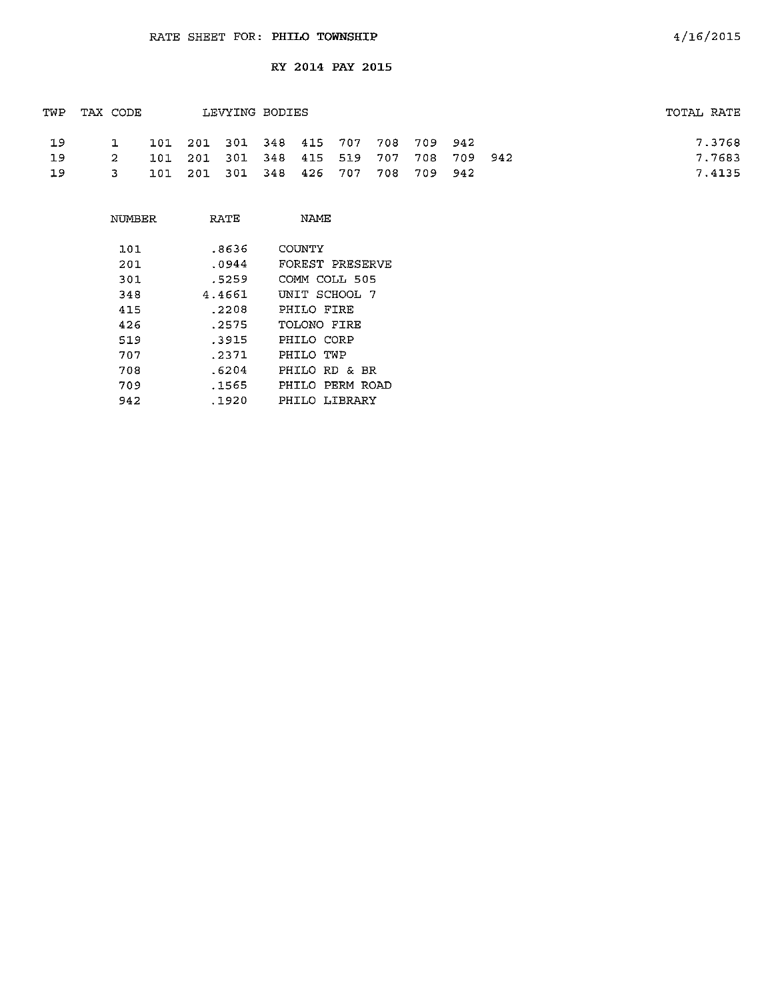|     | TWP TAX CODE |              |  | LEVYING BODIES                          |  |  |  | TOTAL RATE |
|-----|--------------|--------------|--|-----------------------------------------|--|--|--|------------|
| -19 |              | $\mathbf{1}$ |  | 101 201 301 348 415 707 708 709 942     |  |  |  | 7.3768     |
| 19  |              | -2           |  | 101 201 301 348 415 519 707 708 709 942 |  |  |  | 7.7683     |
| 19  |              | $\mathbf{3}$ |  | 101 201 301 348 426 707 708 709 942     |  |  |  | 7.4135     |

| NUMBER | RATE   | NAME            |
|--------|--------|-----------------|
| 101    | .8636  | COUNTY          |
| 201    | .0944  | FOREST PRESERVE |
| 301    | .5259  | COMM COLL 505   |
| 348    | 4.4661 | UNIT SCHOOL 7   |
| 415    | . 2208 | PHILO FIRE      |
| 426    | .2575  | TOLONO FIRE     |
| 519    | 3915   | PHILO CORP      |
| 707    | .2371  | PHILO TWP       |
| 708    | .6204  | PHILO RD & BR   |
| 709    | .1565  | PHILO PERM ROAD |
| 942    | .1920  | PHILO LIBRARY   |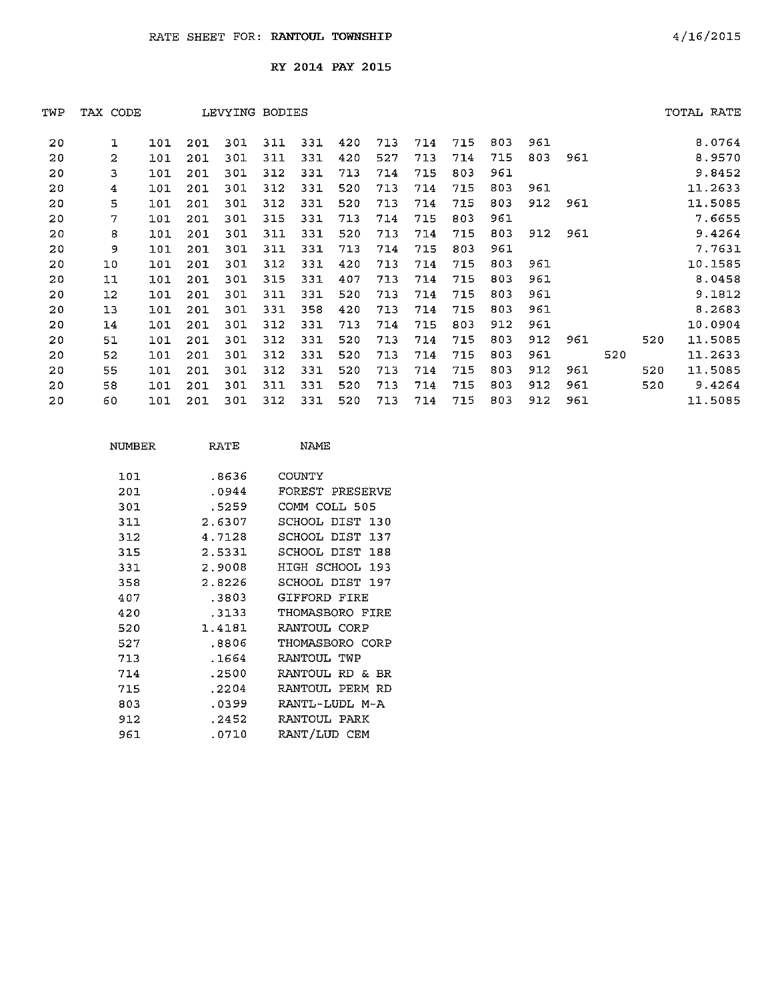| TWP | TAX CODE    |     |     | LEVYING BODIES |     |     |     |     |     |     |     |     |     |     |     | TOTAL RATE |
|-----|-------------|-----|-----|----------------|-----|-----|-----|-----|-----|-----|-----|-----|-----|-----|-----|------------|
| 20  | $\mathbf 1$ | 101 | 201 | 301            | 311 | 331 | 420 | 713 | 714 | 715 | 803 | 961 |     |     |     | 8.0764     |
| 20  | 2           | 101 | 201 | 301            | 311 | 331 | 420 | 527 | 713 | 714 | 715 | 803 | 961 |     |     | 8.9570     |
| 20  | 3           | 101 | 201 | 301            | 312 | 331 | 713 | 714 | 715 | 803 | 961 |     |     |     |     | 9.8452     |
| 20  | 4           | 101 | 201 | 301            | 312 | 331 | 520 | 713 | 714 | 715 | 803 | 961 |     |     |     | 11.2633    |
| 20  | 5           | 101 | 201 | 301            | 312 | 331 | 520 | 713 | 714 | 715 | 803 | 912 | 961 |     |     | 11.5085    |
| 20  | 7           | 101 | 201 | 301            | 315 | 331 | 713 | 714 | 715 | 803 | 961 |     |     |     |     | 7.6655     |
| 20  | 8           | 101 | 201 | 301            | 311 | 331 | 520 | 713 | 714 | 715 | 803 | 912 | 961 |     |     | 9.4264     |
| 20  | 9           | 101 | 201 | 301            | 311 | 331 | 713 | 714 | 715 | 803 | 961 |     |     |     |     | 7.7631     |
| 20  | 10          | 101 | 201 | 301            | 312 | 331 | 420 | 713 | 714 | 715 | 803 | 961 |     |     |     | 10.1585    |
| 20  | 11          | 101 | 201 | 301            | 315 | 331 | 407 | 713 | 714 | 715 | 803 | 961 |     |     |     | 8.0458     |
| 20  | 12          | 101 | 201 | 301            | 311 | 331 | 520 | 713 | 714 | 715 | 803 | 961 |     |     |     | 9.1812     |
| 20  | 13          | 101 | 201 | 301            | 331 | 358 | 420 | 713 | 714 | 715 | 803 | 961 |     |     |     | 8.2683     |
| 20  | 14          | 101 | 201 | 301            | 312 | 331 | 713 | 714 | 715 | 803 | 912 | 961 |     |     |     | 10.0904    |
| 20  | 51          | 101 | 201 | 301            | 312 | 331 | 520 | 713 | 714 | 715 | 803 | 912 | 961 |     | 520 | 11.5085    |
| 20  | 52          | 101 | 201 | 301            | 312 | 331 | 520 | 713 | 714 | 715 | 803 | 961 |     | 520 |     | 11.2633    |
| 20  | 55          | 101 | 201 | 301            | 312 | 331 | 520 | 713 | 714 | 715 | 803 | 912 | 961 |     | 520 | 11.5085    |
| 20  | 58          | 101 | 201 | 301            | 311 | 331 | 520 | 713 | 714 | 715 | 803 | 912 | 961 |     | 520 | 9.4264     |
| 20  | 60          | 101 | 201 | 301            | 312 | 331 | 520 | 713 | 714 | 715 | 803 | 912 | 961 |     |     | 11.5085    |
|     |             |     |     |                |     |     |     |     |     |     |     |     |     |     |     |            |

| NUMBER | RATE   | NAME            |
|--------|--------|-----------------|
| 101    | .8636  | COUNTY          |
| 201    | .0944  | FOREST PRESERVE |
| 301    | .5259  | COMM COLL 505   |
| 311    | 2.6307 | SCHOOL DIST 130 |
| 312    | 4.7128 | SCHOOL DIST 137 |
| 315    | 2.5331 | SCHOOL DIST 188 |
| 331    | 2.9008 | HIGH SCHOOL 193 |
| 358    | 2.8226 | SCHOOL DIST 197 |
| 407    | .3803  | GIFFORD FIRE    |
| 420    | .3133  | THOMASBORO FIRE |
| 520    | 1.4181 | RANTOUL CORP    |
| 527    | .8806  | THOMASBORO CORP |
| 713    | .1664  | RANTOUL TWP     |
| 714    | .2500  | RANTOUL RD & BR |
| 715    | .2204  | RANTOUL PERM RD |
| 803    | .0399  | RANTL-LUDL M-A  |
| 912    | .2452  | RANTOUL PARK    |
| 961    | .0710  | RANT/LUD CEM    |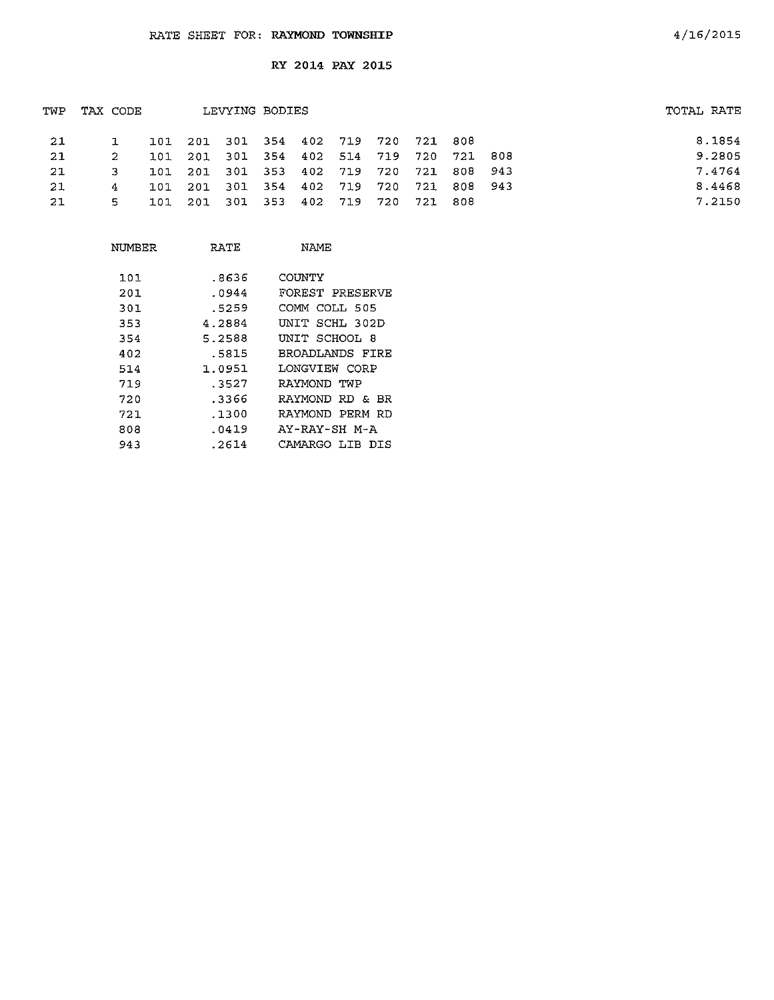| TWP | TAX CODE       |      |                                         | LEVYING BODIES      |  |         |                                 |  | TOTAL RATE |        |
|-----|----------------|------|-----------------------------------------|---------------------|--|---------|---------------------------------|--|------------|--------|
| 21  |                |      | 101 201 301 354 402 719 720 721 808     |                     |  |         |                                 |  |            | 8.1854 |
| 21  |                | 101. | 201                                     |                     |  |         | 301 354 402 514 719 720 721 808 |  |            | 9.2805 |
| -21 | 3              |      | 101 201 301 353 402 719 720 721 808 943 |                     |  |         |                                 |  |            | 7.4764 |
| -21 | $\overline{a}$ | 101  | - 201                                   | 301 354 402 719 720 |  |         | 721 808 943                     |  |            | 8.4468 |
| 21  | 5.             | 101  | - 201                                   | 301 353             |  | 402 719 | 720 721 808                     |  |            | 7.2150 |
|     |                |      |                                         |                     |  |         |                                 |  |            |        |

| NUMBER | RATE   | NAME               |
|--------|--------|--------------------|
| 101    | .8636  | COUNTY             |
| 201    | .0944  | FOREST PRESERVE    |
| 301    | .5259  | COMM COLL 505      |
| 353    | 4.2884 | UNIT SCHL 302D     |
| 354    | 5.2588 | UNIT SCHOOL 8      |
| 402    | .5815  | BROADLANDS FIRE    |
| 514    | 1.0951 | LONGVIEW CORP      |
| 719    | .3527  | RAYMOND TWP        |
| 720    | .3366  | RAYMOND RD & BR    |
| 721    | .1300  | RAYMOND PERM RD    |
| 808    | .0419  | AY-RAY-SH M-A      |
| 943    | .2614  | CAMARGO LIB<br>DIS |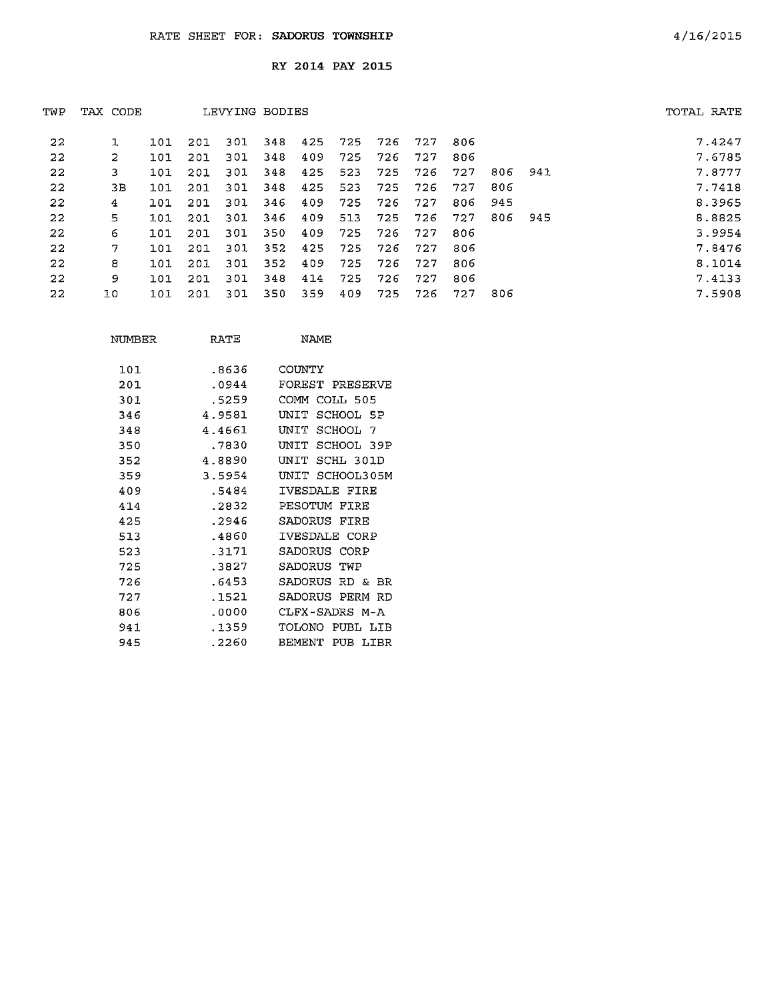| TWP | TAX CODE |     |     | LEVYING BODIES |      |     |     |     |     |      |     |      | TOTAL RATE |        |
|-----|----------|-----|-----|----------------|------|-----|-----|-----|-----|------|-----|------|------------|--------|
| 22  |          | 101 | 201 | -301           | 348  | 425 | 725 | 726 | 727 | 806  |     |      |            | 7.4247 |
| 22  | 2        | 101 | 201 | 301            | 348  | 409 | 725 | 726 | 727 | 806  |     |      |            | 7.6785 |
| 22  | 3        | 101 | 201 | -301           | -348 | 425 | 523 | 725 | 726 | 727  | 806 | -941 |            | 7.8777 |
| 22  | 3E       | 101 | 201 | 301            | 348  | 425 | 523 | 725 | 726 | 727  | 806 |      |            | 7.7418 |
| 22  | 4        | 101 | 201 | 301            | 346  | 409 | 725 | 726 | 727 | 806  | 945 |      |            | 8.3965 |
| 22  | 5        | 101 | 201 | 301            | 346  | 409 | 513 | 725 | 726 | -727 | 806 | 945  |            | 8.8825 |
| 22  | 6        | 101 | 201 | 301            | 350  | 409 | 725 | 726 | 727 | 806  |     |      |            | 3.9954 |
| 22  | 7        | 101 | 201 | 301            | 352  | 425 | 725 | 726 | 727 | 806  |     |      |            | 7.8476 |
| 22  | 8        | 101 | 201 | -301           | 352  | 409 | 725 | 726 | 727 | 806  |     |      |            | 8.1014 |
| 22  | 9        | 101 | 201 | 301            | 348  | 414 | 725 | 726 | 727 | 806  |     |      |            | 7.4133 |
| 22  | 10       | 101 | 201 | 301            | 350  | 359 | 409 | 725 | 726 | 727  | 806 |      |            | 7.5908 |

| NUMBER | RATE    | <b>NAMF</b>              |
|--------|---------|--------------------------|
| 1.01   | -8636   | COUNTY                   |
| 201    | .0944   | FOREST PRESERVE          |
| 301    | .5259   | COMM<br>COLL 505         |
| 346    | 4.9581  | SCHOOL 5P<br>INTT        |
| 348    | 4.4661  | דואתז<br>SCHOOL<br>7     |
| 350    | .7830   | SCHOOL 39P<br>TNTT.      |
| 352    | 4.8890  | SCHL 301D<br><b>INTT</b> |
| 359    | 3.5954  | IINTT<br>SCHOOL305M      |
| 409    | .5484   | IVESDALE<br>FIRE         |
| 414    | $-2832$ | PESOTUM<br>FTRE          |
| 425    | .2946   | SADORUS<br>FTRF          |
| 513    | .4860   | IVESDALE CORP            |
| 523    | -3171   | SADORUS<br>CORP          |
| 725    | .3827   | SADORUS<br>TWP           |
| 726    | .6453   | SADORUS<br>RD &<br>BR    |
| 727    | .1521   | SADORUS<br>PERM<br>חת    |
| 806    | .0000   | CLFX-SADRS M-A           |
| 941    | . 1359  | TOLONO<br>PUBL LIB       |
| 945    | .2260   | BEMENT<br>PUB<br>LIBR    |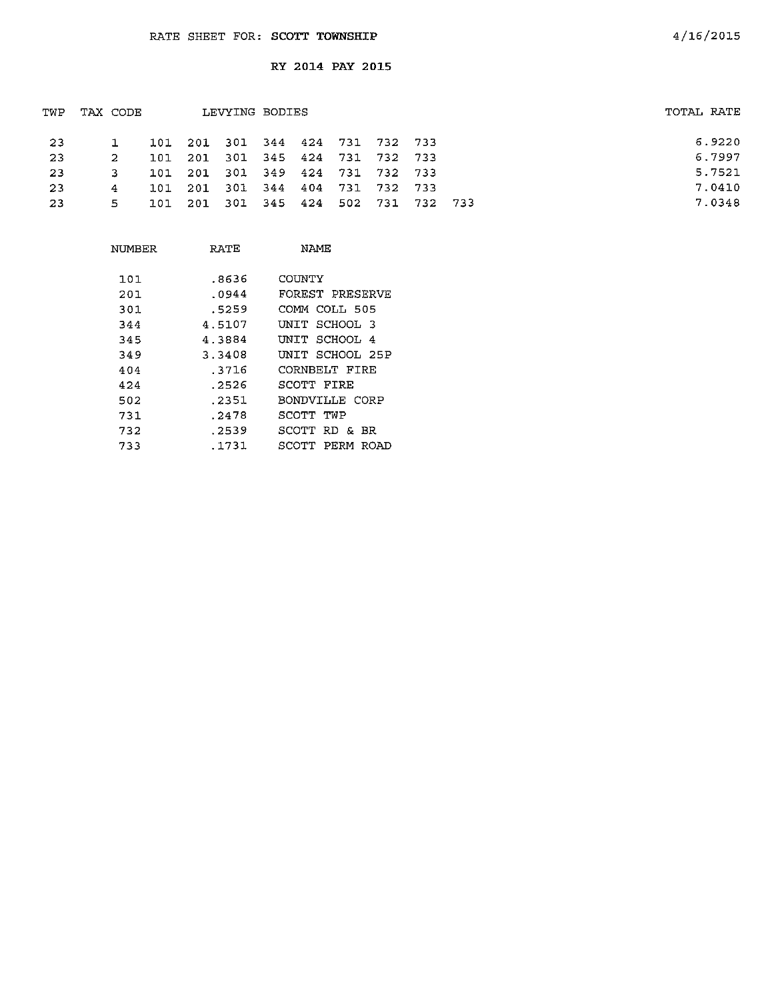| TWP | TAX CODE |     |                                     | LEVYING BODIES |  |  | TOTAL RATE |
|-----|----------|-----|-------------------------------------|----------------|--|--|------------|
| -23 |          |     | 101 201 301 344 424 731 732 733     |                |  |  | 6.9220     |
| -23 | 2        | 101 | 201 301 345 424 731 732 733         |                |  |  | 6.7997     |
| -23 | З.       |     | 101 201 301 349 424 731 732 733     |                |  |  | 5.7521     |
| -23 | 4        |     | 101 201 301 344 404 731 732 733     |                |  |  | 7.0410     |
| -23 | 5.       |     | 101 201 301 345 424 502 731 732 733 |                |  |  | 7.0348     |
|     |          |     |                                     |                |  |  |            |

| NUMBER | RATE   | NAME                  |
|--------|--------|-----------------------|
| 101    | .8636  | COUNTY                |
| 201    | .0944  | FOREST PRESERVE       |
| 301    | .5259  | COMM COLL 505         |
| 344    | 4.5107 | UNIT SCHOOL 3         |
| 345    | 4.3884 | UNIT SCHOOL 4         |
| 349    | 3.3408 | UNIT SCHOOL 25P       |
| 404    | .3716  | CORNBELT FIRE         |
| 424    | . 2526 | SCOTT FIRE            |
| 502    | .2351  | BONDVILLE CORP        |
| 731    | .2478  | SCOTT TWP             |
| 732    | .2539  | SCOTT RD & BR         |
| 733    | .1731  | SCOTT<br>PERM<br>ROAD |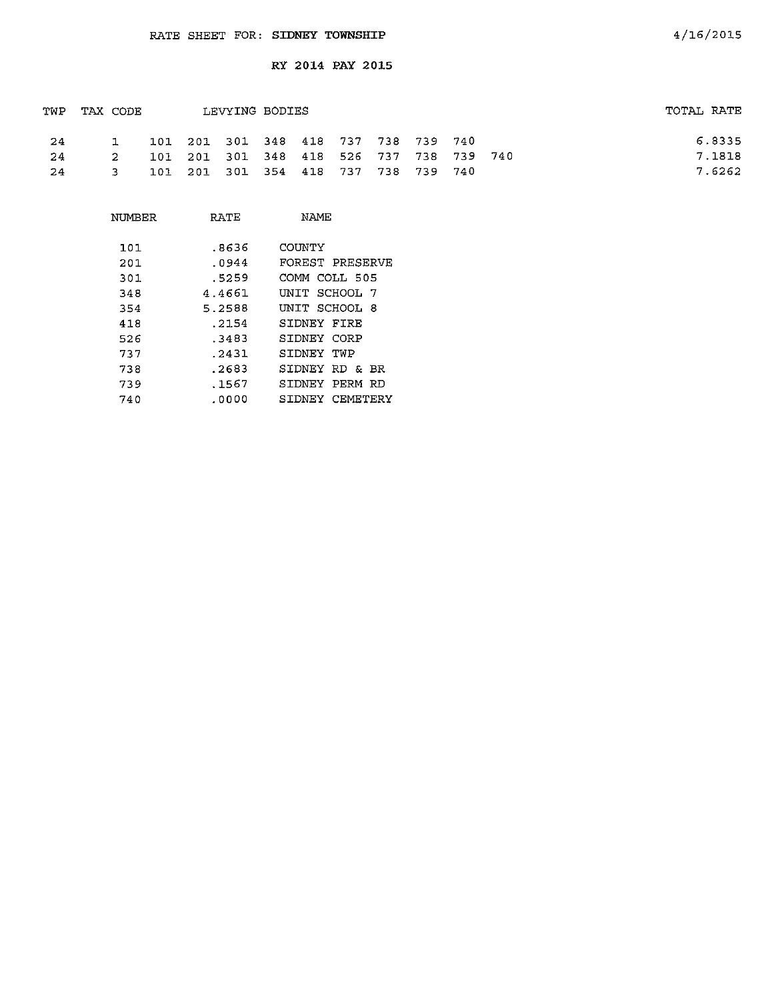| TWP | TAX CODE |             |  | LEVYING BODIES                      |  |  |                                         | TOTAL RATE |
|-----|----------|-------------|--|-------------------------------------|--|--|-----------------------------------------|------------|
| -24 |          |             |  | 101 201 301 348 418 737 738 739 740 |  |  |                                         | 6.8335     |
| 24  |          | $2^{\circ}$ |  |                                     |  |  | 101 201 301 348 418 526 737 738 739 740 | 7.1818     |
| -24 |          | 3.          |  | 101 201 301 354 418 737 738 739 740 |  |  |                                         | 7.6262     |

| NUMBER | RATE   | NAME                 |
|--------|--------|----------------------|
| 101    | .8636  | COUNTY               |
|        |        |                      |
| 201    | .0944  | FOREST PRESERVE      |
| 301    | .5259  | COMM COLL 505        |
| 348    | 4.4661 | UNIT SCHOOL 7        |
| 354    | 5.2588 | UNIT SCHOOL 8        |
| 418    | .2154  | SIDNEY FIRE          |
| 526    | .3483  | SIDNEY CORP          |
| 737    | .2431  | SIDNEY TWP           |
| 738    | .2683  | SIDNEY RD & BR       |
| 739    | .1567  | STDNEY<br>PERM<br>RD |
| 740    | .0000  | CEMETERY<br>SIDNEY   |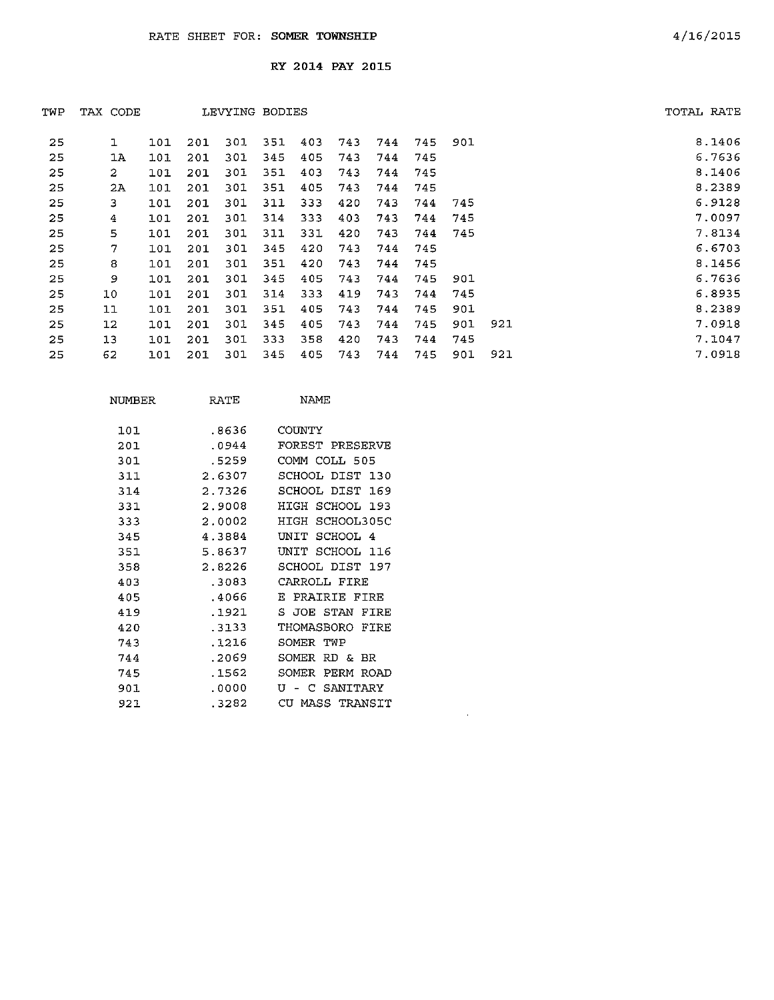| TWP | TAX CODE         |     |     | LEVYING BODIES |     |     |     |     |     |     |     | TOTAL RATE |        |
|-----|------------------|-----|-----|----------------|-----|-----|-----|-----|-----|-----|-----|------------|--------|
| 25  | ı                | 101 | 201 | 301            | 351 | 403 | 743 | 744 | 745 | 901 |     |            | 8.1406 |
| 25  | 1A               | 101 | 201 | 301            | 345 | 405 | 743 | 744 | 745 |     |     |            | 6.7636 |
| 25  | $\boldsymbol{2}$ | 101 | 201 | 301            | 351 | 403 | 743 | 744 | 745 |     |     |            | 8.1406 |
| 25  | 2A               | 101 | 201 | 301            | 351 | 405 | 743 | 744 | 745 |     |     |            | 8.2389 |
| 25  | 3.               | 101 | 201 | 301            | 311 | 333 | 420 | 743 | 744 | 745 |     |            | 6.9128 |
| 25  | 4                | 101 | 201 | 301            | 314 | 333 | 403 | 743 | 744 | 745 |     |            | 7.0097 |
| 25  | 5                | 101 | 201 | 301            | 311 | 331 | 420 | 743 | 744 | 745 |     |            | 7.8134 |
| 25  | 7                | 101 | 201 | 301            | 345 | 420 | 743 | 744 | 745 |     |     |            | 6.6703 |
| 25  | 8                | 101 | 201 | 301            | 351 | 420 | 743 | 744 | 745 |     |     |            | 8.1456 |
| 25  | 9                | 101 | 201 | 301            | 345 | 405 | 743 | 744 | 745 | 901 |     |            | 6.7636 |
| 25  | 10               | 101 | 201 | 301            | 314 | 333 | 419 | 743 | 744 | 745 |     |            | 6.8935 |
| 25  | $11$             | 101 | 201 | 301            | 351 | 405 | 743 | 744 | 745 | 901 |     |            | 8.2389 |
| 25  | 12               | 101 | 201 | 301            | 345 | 405 | 743 | 744 | 745 | 901 | 921 |            | 7.0918 |
| 25  | 13               | 101 | 201 | 301            | 333 | 358 | 420 | 743 | 744 | 745 |     |            | 7.1047 |
| 25  | 62               | 101 | 201 | 301            | 345 | 405 | 743 | 744 | 745 | 901 | 921 |            | 7.0918 |

 $\sim 10^{11}$ 

| NUMBER | RATE   | NAME                       |
|--------|--------|----------------------------|
| 101    | .8636  | COUNTY                     |
| 201    | .0944  | FOREST PRESERVE            |
| 301    | .5259  | COMM COLL 505              |
| 311    | 2.6307 | SCHOOL DIST 130            |
| 314    | 2.7326 | SCHOOL DIST<br>169         |
| 331    | 2.9008 | HIGH SCHOOL 193            |
| 333    | 2.0002 | HTGH<br>SCHOOL305C         |
| 345    | 4.3884 | SCHOOL<br>UNIT<br>4        |
| 351    | 5.8637 | SCHOOL.<br>UNTT<br>116     |
| 358    | 2.8226 | SCHOOL DIST<br>197         |
| 403    | -3083  | CARROLL FIRE               |
| 405    | .4066  | PRAIRIE FIRE<br>E          |
| 419    | .1921  | S.<br><b>JOE STAN FIRE</b> |
| 420    | .3133  | THOMASBORO<br>FTRE         |
| 743    | .1216  | SOMER<br>TWP               |
| 744    | .2069  | SOMER<br>RD &<br>- BR      |
| 745    | .1562  | SOMER<br>PERM ROAD         |
| 901.   | .0000  | SANITARY<br>τT<br>C        |
| 921    | .3282  | CIL<br>MASS TRANSIT        |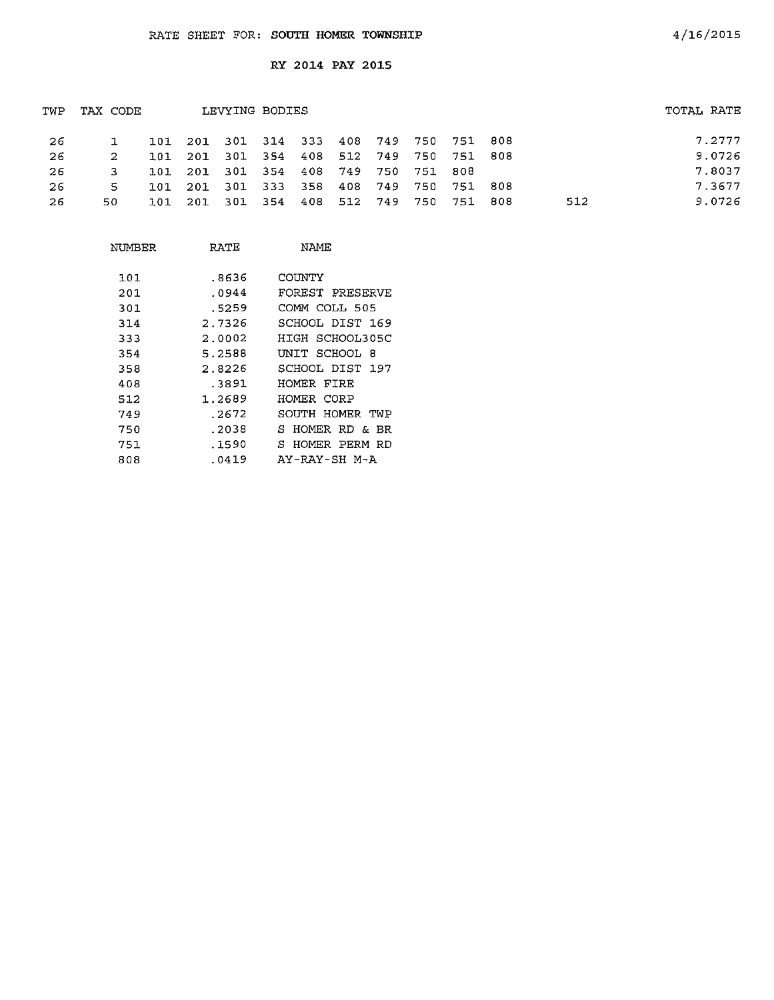| TWP | TAX CODE     |                                         | LEVYING BODIES |  |  |                     |     | TOTAL RATE |
|-----|--------------|-----------------------------------------|----------------|--|--|---------------------|-----|------------|
| -26 | $\mathbf{L}$ | 101 201 301 314 333 408 749 750 751 808 |                |  |  |                     |     | 7.2777     |
| -26 | -2.          | 101 201 301 354 408 512 749 750 751 808 |                |  |  |                     |     | 9.0726     |
| -26 |              | 101 201 301 354 408 749 750 751 808     |                |  |  |                     |     | 7.8037     |
| -26 | -5           | 101 201 301 333 358                     |                |  |  | 408 749 750 751 808 |     | 7.3677     |
| 26  | 50.          | 101 201 301 354 408 512 749 750 751 808 |                |  |  |                     | 512 | 9.0726     |
|     |              |                                         |                |  |  |                     |     |            |

| NUMBER | RATE   | NAME                |
|--------|--------|---------------------|
| 101    | .8636  | COUNTY              |
| 201    | .0944  | FOREST PRESERVE     |
| 301    | .5259  | COMM COLL 505       |
| 314    | 2.7326 | SCHOOL DIST 169     |
| 333    | 2.0002 | HIGH SCHOOL305C     |
| 354    | 5.2588 | UNIT SCHOOL 8       |
| 358    | 2.8226 | SCHOOL DIST 197     |
| 408    | .3891  | HOMER FIRE          |
| 512    | 1.2689 | HOMER CORP          |
| 749    | .2672  | SOUTH HOMER TWP     |
| 750    | .2038  | S.<br>HOMER RD & BR |
| 751    | .1590  | S HOMER PERM RD     |
| 808    | .0419  | AY-RAY-SH M-A       |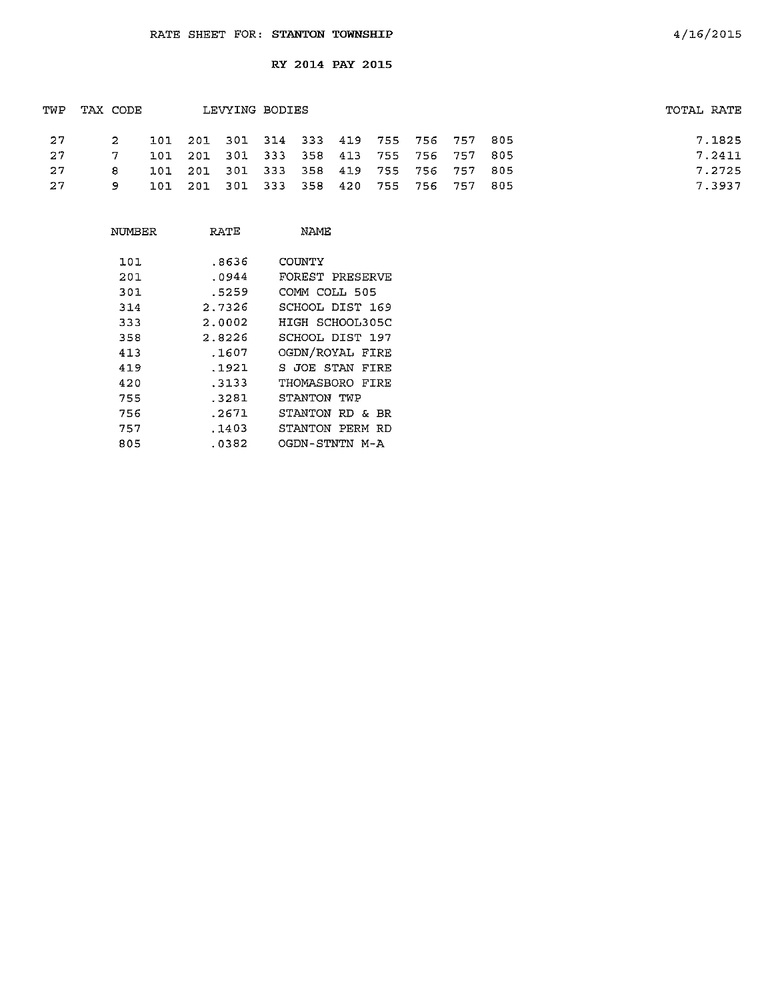| TWP | TAX CODE |  | LEVYING BODIES                          |  |  |  | TOTAL RATE |
|-----|----------|--|-----------------------------------------|--|--|--|------------|
| -27 | -2       |  | 101 201 301 314 333 419 755 756 757 805 |  |  |  | 7.1825     |
| 27  |          |  | 101 201 301 333 358 413 755 756 757 805 |  |  |  | 7.2411     |
| -27 | 8. L     |  | 101 201 301 333 358 419 755 756 757 805 |  |  |  | 7.2725     |
| 27  | 9.       |  | 101 201 301 333 358 420 755 756 757 805 |  |  |  | 7.3937     |

| NUMBER | RATE   | NAMF.              |
|--------|--------|--------------------|
| 101    | .8636  | COUNTY             |
| 201    | .0944  | FOREST PRESERVE    |
| 301    | .5259  | COMM COLL 505      |
| 314    | 2.7326 | SCHOOL DIST 169    |
| 333    | 2.0002 | HIGH SCHOOL305C    |
| 358    | 2.8226 | SCHOOL DIST 197    |
| 413    | .1607  | OGDN/ROYAL FIRE    |
| 419    | .1921  | S JOE STAN<br>FIRE |
| 420    | .3133  | THOMASBORO FIRE    |
| 755    | .3281  | STANTON TWP        |
| 756    | .2671  | STANTON RD &<br>BR |
| 757    | .1403  | STANTON PERM RD    |
| 805    | .0382  | OGDN-STNTN M-A     |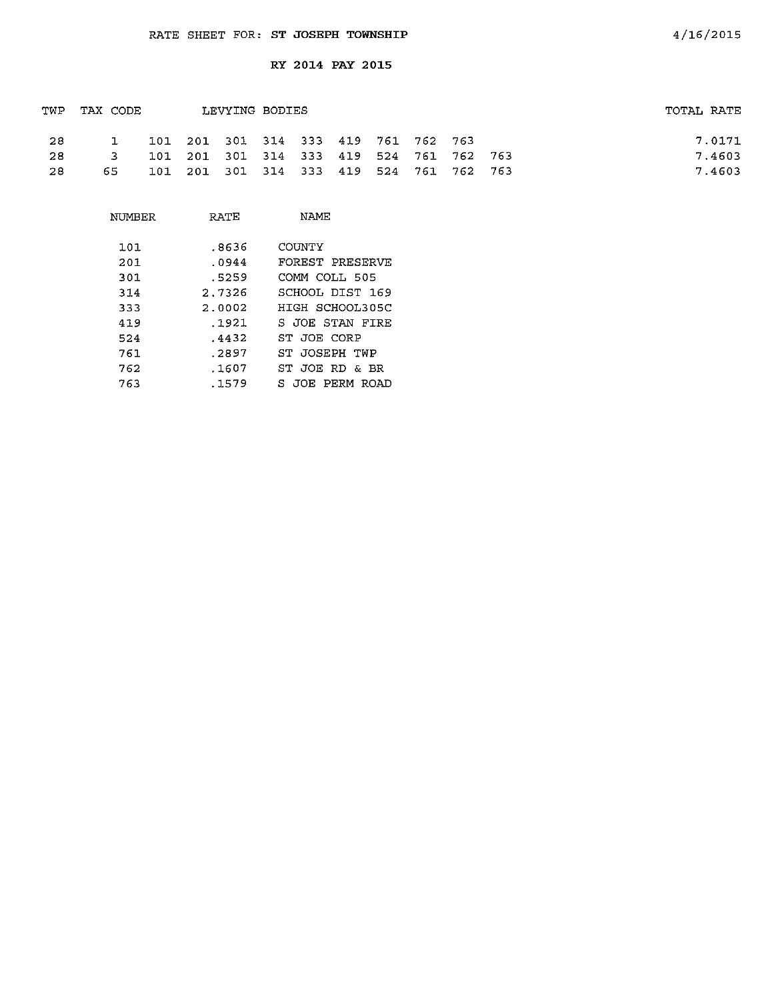| TWP | TAX CODE |  | TOTAL RATE                              |  |  |  |  |        |
|-----|----------|--|-----------------------------------------|--|--|--|--|--------|
| -28 |          |  | 101 201 301 314 333 419 761 762 763     |  |  |  |  | 7.0171 |
| -28 | ्र ।     |  | 101 201 301 314 333 419 524 761 762 763 |  |  |  |  | 7.4603 |
| -28 | 65.      |  | 101 201 301 314 333 419 524 761 762 763 |  |  |  |  | 7.4603 |

| NUMBER | RATE   | NAME            |
|--------|--------|-----------------|
| 101    | .8636  | COUNTY          |
| 201    | .0944  | FOREST PRESERVE |
| 301    | .5259  | COMM COLL 505   |
| 314    | 2.7326 | SCHOOL DIST 169 |
| 333    | 2.0002 | HIGH SCHOOL305C |
| 419    | .1921  | S JOE STAN FIRE |
| 524    | .4432  | ST JOE CORP     |
| 761    | .2897  | ST JOSEPH TWP   |
| 762    | .1607  | ST JOE RD & BR  |
| 763    | .1579  | S JOE PERM ROAD |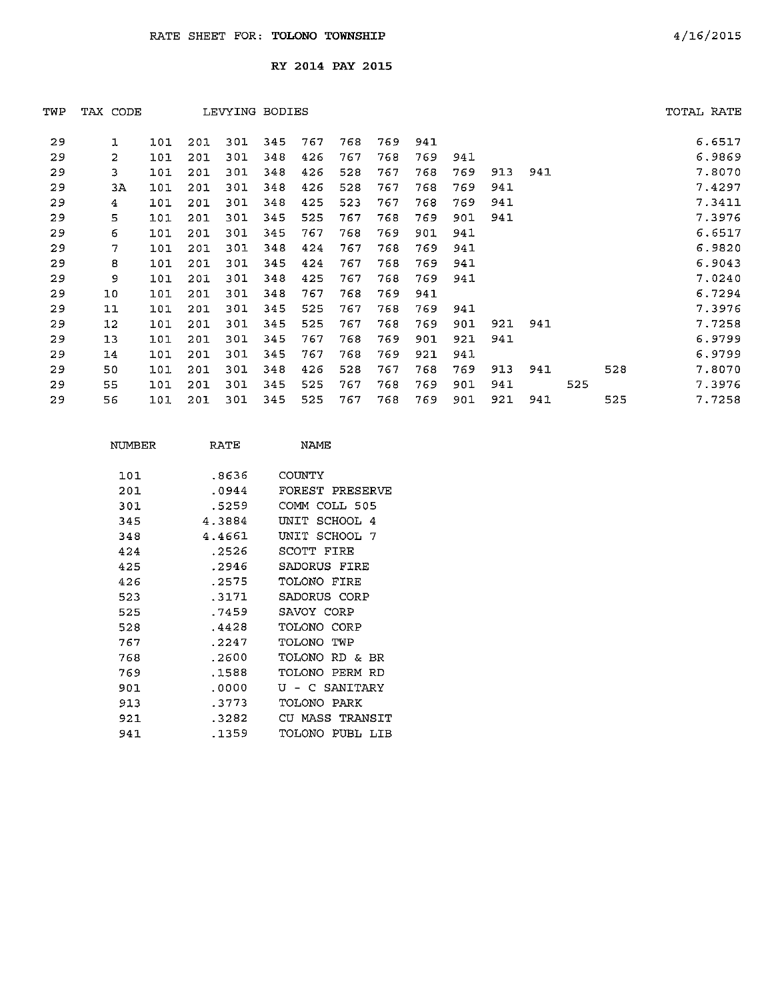| TWP | TAX CODE       |     |     | LEVYING BODIES |     |     |     |     |     |     |     |     |     |     | TOTAL RATE |
|-----|----------------|-----|-----|----------------|-----|-----|-----|-----|-----|-----|-----|-----|-----|-----|------------|
| 29  | ı              | 101 | 201 | 301            | 345 | 767 | 768 | 769 | 941 |     |     |     |     |     | 6.6517     |
| 29  | $\overline{2}$ | 101 | 201 | 301            | 348 | 426 | 767 | 768 | 769 | 941 |     |     |     |     | 6.9869     |
| 29  | 3              | 101 | 201 | 301            | 348 | 426 | 528 | 767 | 768 | 769 | 913 | 941 |     |     | 7.8070     |
| 29  | 3A             | 101 | 201 | 301            | 348 | 426 | 528 | 767 | 768 | 769 | 941 |     |     |     | 7.4297     |
| 29  | 4              | 101 | 201 | 301            | 348 | 425 | 523 | 767 | 768 | 769 | 941 |     |     |     | 7.3411     |
| 29  | 5              | 101 | 201 | 301            | 345 | 525 | 767 | 768 | 769 | 901 | 941 |     |     |     | 7.3976     |
| 29  | 6              | 101 | 201 | 301            | 345 | 767 | 768 | 769 | 901 | 941 |     |     |     |     | 6.6517     |
| 29  | 7              | 101 | 201 | 301            | 348 | 424 | 767 | 768 | 769 | 941 |     |     |     |     | 6.9820     |
| 29  | 8              | 101 | 201 | 301            | 345 | 424 | 767 | 768 | 769 | 941 |     |     |     |     | 6.9043     |
| 29  | 9              | 101 | 201 | 301            | 348 | 425 | 767 | 768 | 769 | 941 |     |     |     |     | 7.0240     |
| 29  | 10             | 101 | 201 | 301            | 348 | 767 | 768 | 769 | 941 |     |     |     |     |     | 6.7294     |
| 29  | 11             | 101 | 201 | 301            | 345 | 525 | 767 | 768 | 769 | 941 |     |     |     |     | 7.3976     |
| 29  | $12 \,$        | 101 | 201 | 301            | 345 | 525 | 767 | 768 | 769 | 901 | 921 | 941 |     |     | 7.7258     |
| 29  | 13             | 101 | 201 | 301            | 345 | 767 | 768 | 769 | 901 | 921 | 941 |     |     |     | 6.9799     |
| 29  | 14             | 101 | 201 | 301            | 345 | 767 | 768 | 769 | 921 | 941 |     |     |     |     | 6.9799     |
| 29  | 50             | 101 | 201 | 301            | 348 | 426 | 528 | 767 | 768 | 769 | 913 | 941 |     | 528 | 7.8070     |
| 29  | 55             | 101 | 201 | 301            | 345 | 525 | 767 | 768 | 769 | 901 | 941 |     | 525 |     | 7.3976     |
| 29  | 56             | 101 | 201 | 301            | 345 | 525 | 767 | 768 | 769 | 901 | 921 | 941 |     | 525 | 7.7258     |
|     |                |     |     |                |     |     |     |     |     |     |     |     |     |     |            |

| NUMBER | RATE   | NAME.                  |
|--------|--------|------------------------|
| 101    | .8636  | COUNTY                 |
| 201    | .0944  | FOREST PRESERVE        |
| 301    | .5259  | COMM COLL 505          |
| 345    | 4.3884 | SCHOOL 4<br>INTT       |
| 348    | 4.4661 | SCHOOL 7<br>UNIT       |
| 424    | .2526  | SCOTT<br>FTRE          |
| 425    | .2946  | SADORUS FIRE           |
| 426    | .2575  | TOLONO FIRE            |
| 523    | .3171  | SADORUS CORP           |
| 525    | 7459   | SAVOY CORP             |
| 528    | .4428  | TOLONO CORP            |
| 767    | . 2247 | OMO TOT<br>TWP         |
| 768    | .2600  | TOLONO.<br>RD & BR     |
| 769    | .1588  | TOLONO<br>PERM RD      |
| 901    | . 0000 | U - C SANITARY         |
| 913    | 3773   | TOLONO PARK            |
| 921    | . 3282 | MASS TRANSIT<br>CH.    |
| 941    | .1359  | TOLONO<br>PUBL.<br>TTB |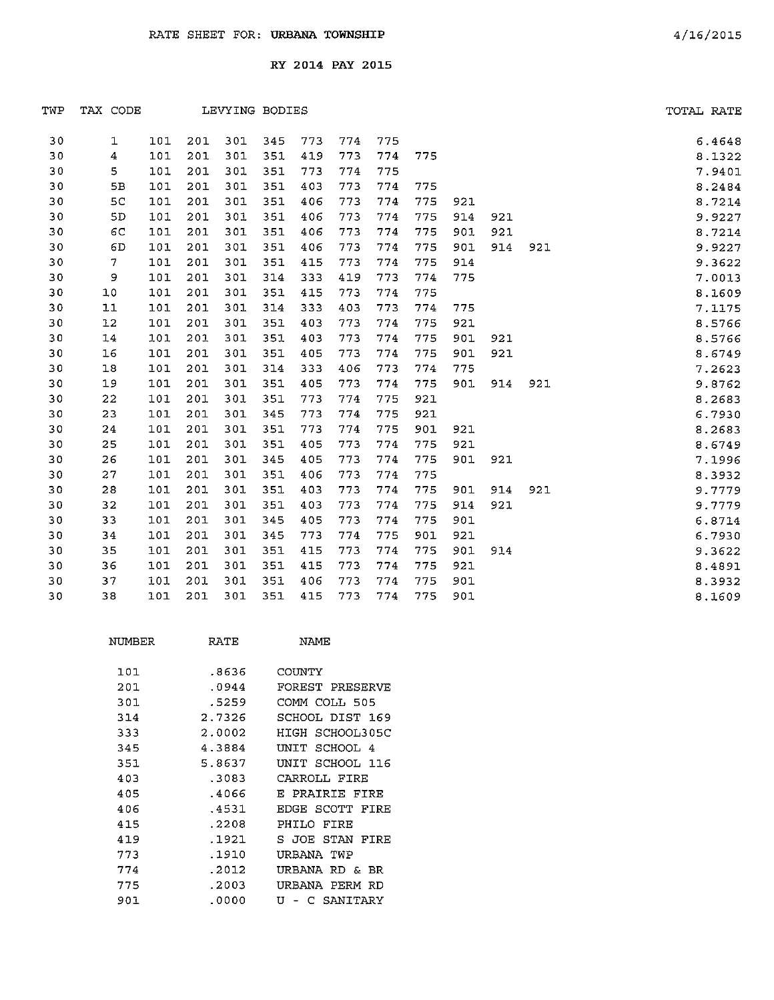| TWP | TAX CODE       |     |     |     | LEVYING BODIES | TOTAL RATE |     |     |     |     |     |     |        |
|-----|----------------|-----|-----|-----|----------------|------------|-----|-----|-----|-----|-----|-----|--------|
| 30  | 1              | 101 | 201 | 301 | 345            | 773        | 774 | 775 |     |     |     |     | 6.4648 |
| 30  | 4              | 101 | 201 | 301 | 351            | 419        | 773 | 774 | 775 |     |     |     | 8.1322 |
| 30  | 5              | 101 | 201 | 301 | 351            | 773        | 774 | 775 |     |     |     |     | 7.9401 |
| 30  | 5B             | 101 | 201 | 301 | 351            | 403        | 773 | 774 | 775 |     |     |     | 8.2484 |
| 30  | 5 <sub>C</sub> | 101 | 201 | 301 | 351            | 406        | 773 | 774 | 775 | 921 |     |     | 8.7214 |
| 30  | 5D             | 101 | 201 | 301 | 351            | 406        | 773 | 774 | 775 | 914 | 921 |     | 9.9227 |
| 30  | 6C             | 101 | 201 | 301 | 351            | 406        | 773 | 774 | 775 | 901 | 921 |     | 8.7214 |
| 30  | 6D             | 101 | 201 | 301 | 351            | 406        | 773 | 774 | 775 | 901 | 914 | 921 | 9.9227 |
| 30  | $\mathbf{7}$   | 101 | 201 | 301 | 351            | 415        | 773 | 774 | 775 | 914 |     |     | 9.3622 |
| 30  | $\mathbf{9}$   | 101 | 201 | 301 | 314            | 333        | 419 | 773 | 774 | 775 |     |     | 7.0013 |
| 30  | 10             | 101 | 201 | 301 | 351            | 415        | 773 | 774 | 775 |     |     |     | 8.1609 |
| 30  | 11             | 101 | 201 | 301 | 314            | 333        | 403 | 773 | 774 | 775 |     |     | 7.1175 |
| 30  | 12             | 101 | 201 | 301 | 351            | 403        | 773 | 774 | 775 | 921 |     |     | 8.5766 |
| 30  | 14             | 101 | 201 | 301 | 351            | 403        | 773 | 774 | 775 | 901 | 921 |     | 8.5766 |
| 30  | 16             | 101 | 201 | 301 | 351            | 405        | 773 | 774 | 775 | 901 | 921 |     | 8.6749 |
| 30  | 18             | 101 | 201 | 301 | 314            | 333        | 406 | 773 | 774 | 775 |     |     | 7.2623 |
| 30  | 19             | 101 | 201 | 301 | 351            | 405        | 773 | 774 | 775 | 901 | 914 | 921 | 9.8762 |
| 30  | 22             | 101 | 201 | 301 | 351            | 773        | 774 | 775 | 921 |     |     |     | 8.2683 |
| 30  | 23             | 101 | 201 | 301 | 345            | 773        | 774 | 775 | 921 |     |     |     | 6.7930 |
| 30  | 24             | 101 | 201 | 301 | 351            | 773        | 774 | 775 | 901 | 921 |     |     | 8.2683 |
| 30  | 25             | 101 | 201 | 301 | 351            | 405        | 773 | 774 | 775 | 921 |     |     | 8.6749 |
| 30  | 26             | 101 | 201 | 301 | 345            | 405        | 773 | 774 | 775 | 901 | 921 |     | 7.1996 |
| 30  | 27             | 101 | 201 | 301 | 351            | 406        | 773 | 774 | 775 |     |     |     | 8.3932 |
| 30  | 28             | 101 | 201 | 301 | 351            | 403        | 773 | 774 | 775 | 901 | 914 | 921 | 9.7779 |
| 30  | 32             | 101 | 201 | 301 | 351            | 403        | 773 | 774 | 775 | 914 | 921 |     | 9.7779 |
| 30  | 33             | 101 | 201 | 301 | 345            | 405        | 773 | 774 | 775 | 901 |     |     | 6.8714 |
| 30  | 34             | 101 | 201 | 301 | 345            | 773        | 774 | 775 | 901 | 921 |     |     | 6.7930 |
| 30  | 35             | 101 | 201 | 301 | 351            | 415        | 773 | 774 | 775 | 901 | 914 |     | 9.3622 |
| 30  | 36             | 101 | 201 | 301 | 351            | 415        | 773 | 774 | 775 | 921 |     |     | 8.4891 |
| 30  | 37             | 101 | 201 | 301 | 351            | 406        | 773 | 774 | 775 | 901 |     |     | 8.3932 |
| 30  | 38             | 101 | 201 | 301 | 351            | 415        | 773 | 774 | 775 | 901 |     |     | 8.1609 |

| NUMBER | RATE   | NAMF               |
|--------|--------|--------------------|
| 101    | .8636  | COUNTY             |
| 201    | .0944  | FOREST PRESERVE    |
| 301    | .5259  | COMM COLL 505      |
| 314    | 2.7326 | SCHOOL DIST 169    |
| 333    | 2.0002 | HIGH SCHOOL305C    |
| 345    | 4.3884 | SCHOOL 4<br>UNIT   |
| 351    | 5.8637 | UNIT SCHOOL 116    |
| 403    | .3083  | CARROLL FIRE       |
| 405    | .4066  | PRAIRIE FIRE<br>т. |
| 406    | .4531  | EDGE<br>SCOTT FIRE |
| 415    | .2208  | PHILO FIRE         |
| 419    | .1921  | S JOE STAN<br>FIRE |
| 773    | .1910  | URBANA TWP         |
| 774    | .2012  | URBANA<br>RD & BR  |
| 775    | .2003  | URBANA PERM RD     |
| 901    | .0000  | ŢŢ<br>C SANITARY   |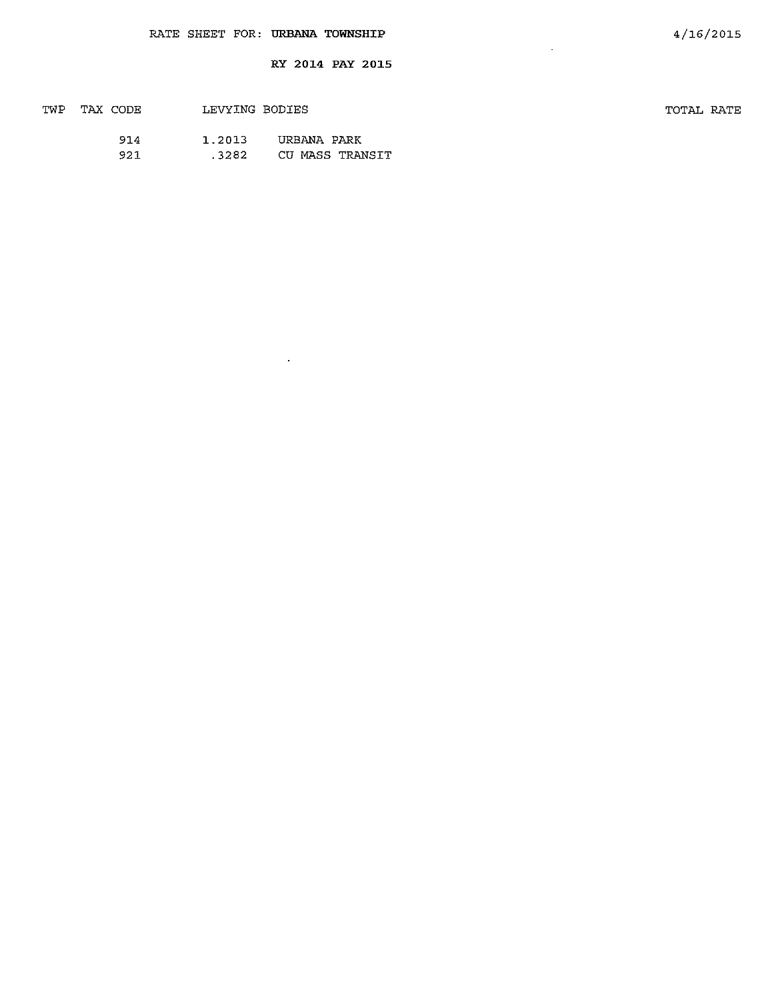$\sim$   $\star$ 

| TWP | TAX CODE | LEVYING BODIES |                 | TOTAL RATE |
|-----|----------|----------------|-----------------|------------|
|     | 914      | 1.2013         | URBANA PARK     |            |
|     | 921      | .3282          | CU MASS TRANSIT |            |

 $\mathcal{L}(\mathcal{A})$  and  $\mathcal{L}(\mathcal{A})$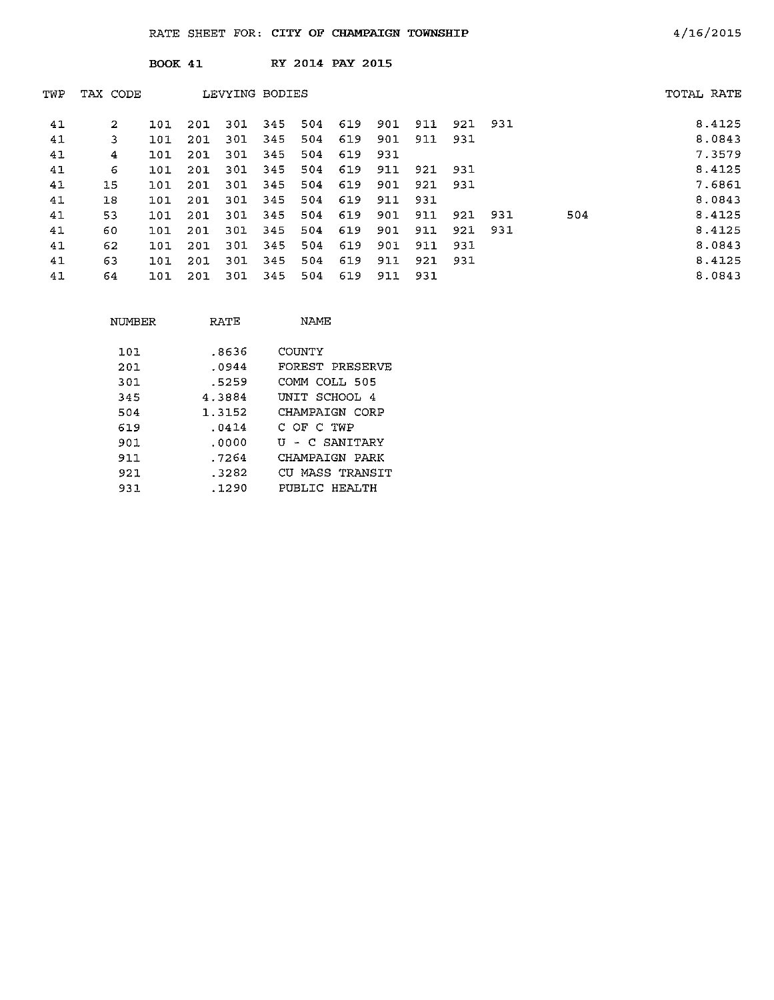|     |          | BOOK 41 |     |                |     |     | RY 2014 PAY 2015 |     |     |     |     |     |            |
|-----|----------|---------|-----|----------------|-----|-----|------------------|-----|-----|-----|-----|-----|------------|
| TWP | TAX CODE |         |     | LEVYING BODIES |     |     |                  |     |     |     |     |     | TOTAL RATE |
| 41  | 2        | 101     | 201 | 301            | 345 | 504 | 619              | 901 | 911 | 921 | 931 |     | 8.4125     |
| 41  | 3        | 101     | 201 | 301            | 345 | 504 | 619              | 901 | 911 | 931 |     |     | 8.0843     |
| 41  | 4        | 101     | 201 | 301            | 345 | 504 | 619              | 931 |     |     |     |     | 7.3579     |
| 41  | 6        | 101     | 201 | 301            | 345 | 504 | 619              | 911 | 921 | 931 |     |     | 8.4125     |
| 41  | 15       | 101     | 201 | 301            | 345 | 504 | 619              | 901 | 921 | 931 |     |     | 7.6861     |
| 41  | 18       | 101     | 201 | 301            | 345 | 504 | 619              | 911 | 931 |     |     |     | 8.0843     |
| 41  | 53       | 101     | 201 | 301            | 345 | 504 | 619              | 901 | 911 | 921 | 931 | 504 | 8.4125     |
| 41  | 60       | 101     | 201 | 301            | 345 | 504 | 619              | 901 | 911 | 921 | 931 |     | 8.4125     |
| 41  | 62       | 101     | 201 | 301            | 345 | 504 | 619              | 901 | 911 | 931 |     |     | 8.0843     |
| 41  | 63       | 101     | 201 | 301            | 345 | 504 | 619              | 911 | 921 | 931 |     |     | 8.4125     |
| 41  | 64       | 101     | 201 | 301            | 345 | 504 | 619              | 911 | 931 |     |     |     | 8.0843     |

| NUMBER | RATE   | NAME            |
|--------|--------|-----------------|
| 101    | .8636  | COUNTY          |
| 201    | .0944  | FOREST PRESERVE |
| 301    | .5259  | COMM COLI, 505  |
| 345    | 4.3884 | UNIT SCHOOL 4   |
| 504    | 1.3152 | CHAMPAIGN CORP  |
| 619    | .0414  | C OF C TWP      |
| 901    | . 0000 | U - C SANITARY  |
| 911    | . 7264 | CHAMPAIGN PARK  |
| 921    | .3282  | CU MASS TRANSTT |
| 931    | . 1290 | PUBLIC HEALTH   |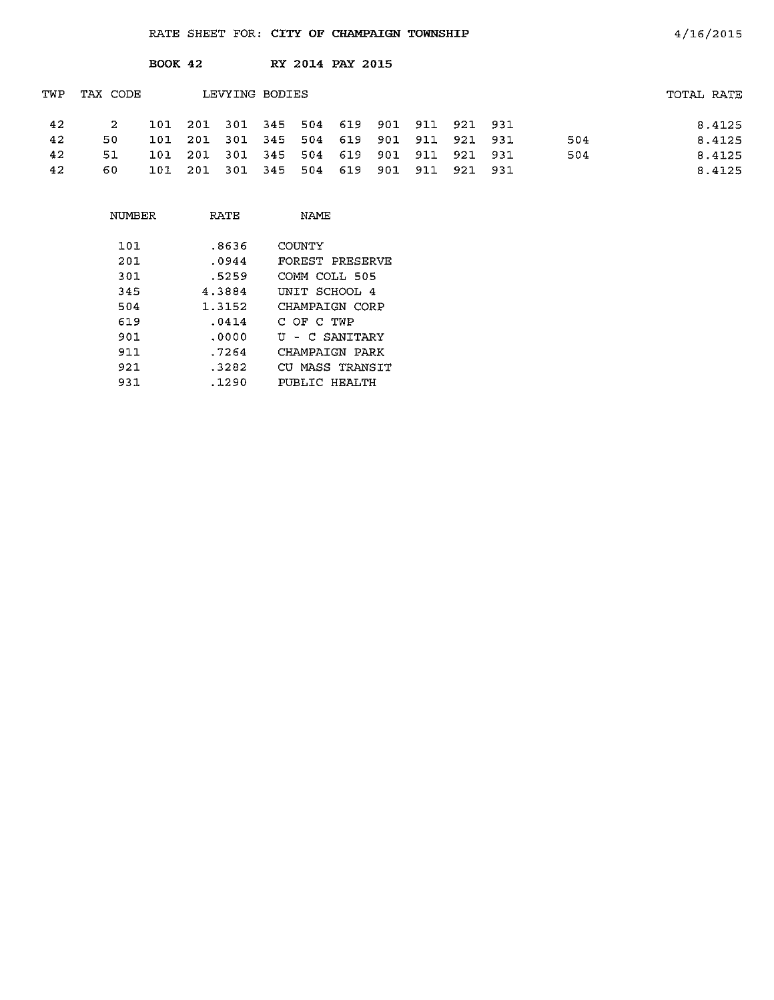|     |     |          |                |      |     |                                      |                 |                  |     |                |                                    | TOTAL RATE |
|-----|-----|----------|----------------|------|-----|--------------------------------------|-----------------|------------------|-----|----------------|------------------------------------|------------|
| 2   | 101 | 201      |                |      |     |                                      |                 |                  |     |                |                                    | 8.4125     |
| 50  | 101 | -201     | 301            |      |     | 619                                  | 901             |                  |     |                | 504                                | 8.4125     |
| 51  | 101 | -201     | -301           |      |     | 619                                  | 901             | 911              | 921 |                | 504                                | 8.4125     |
| 60. | 101 | 201      | 301            | -345 | 504 | 619                                  | 901             | 911              | 921 |                |                                    | 8.4125     |
|     |     | TAX CODE | <b>BOOK 42</b> |      |     | LEVYING BODIES<br>345 504<br>345 504 | 301 345 504 619 | RY 2014 PAY 2015 |     | 901 911<br>911 | 921 931<br>921 931<br>931<br>- 931 |            |

| NUMBER | RATF   | NAMF            |
|--------|--------|-----------------|
| 101    | .8636  | COUNTY          |
| 201    | .0944  | FOREST PRESERVE |
| 301    | .5259  | COMM COLL 505   |
| 345    | 4.3884 | INIT SCHOOL 4   |
| 504    | 1.3152 | CHAMPAIGN CORP  |
| 619    | .0414  | C OF C TWP      |
| 901    | .0000  | U - C SANITARY  |
| 911    | 7264   | CHAMPAIGN PARK  |
| 921    | .3282  | CU MASS TRANSIT |
| 931    | .1290  | PUBLIC HEALTH   |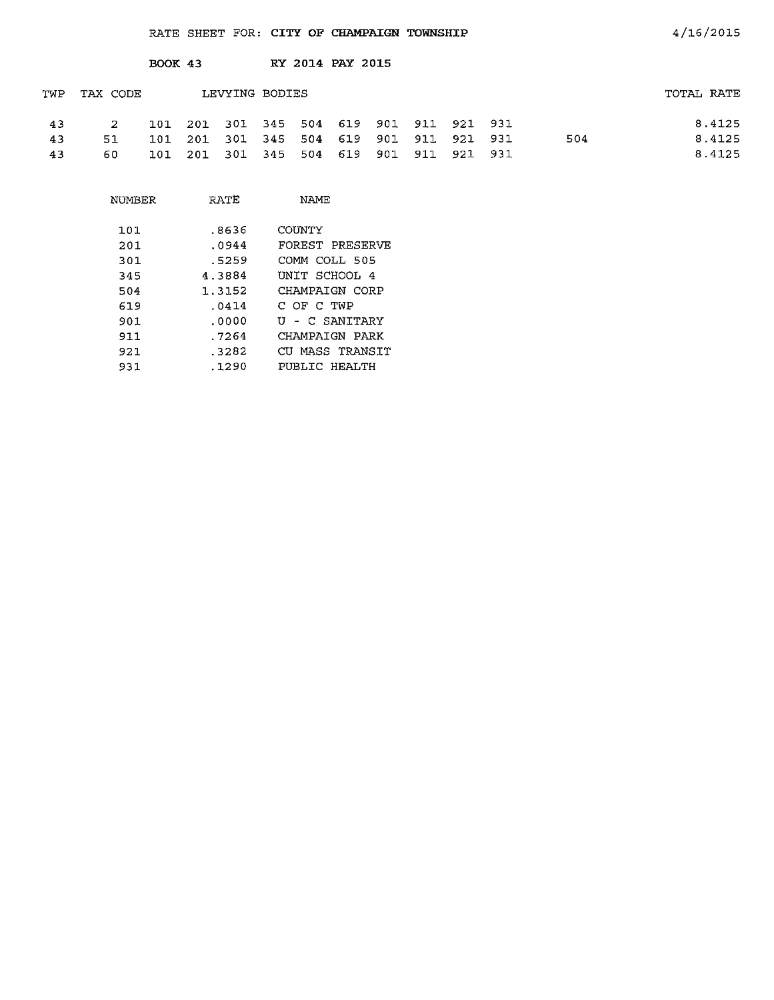|     |          | <b>BOOK 43</b> |      |      |                                     |     | RY 2014 PAY 2015 |     |             |         |     |            |
|-----|----------|----------------|------|------|-------------------------------------|-----|------------------|-----|-------------|---------|-----|------------|
| TWP | TAX CODE |                |      |      | LEVYING BODIES                      |     |                  |     |             |         |     | TOTAL RATE |
| 43  | -2       | 101            |      |      | 201 301 345 504 619 901 911 921 931 |     |                  |     |             |         |     | 8.4125     |
| 43  | 51       | 101            | 201  |      | 301 345 504                         |     | 619              | 901 | 911 921 931 |         | 504 | 8.4125     |
| 43  | 60.      | 101            | -201 | -301 | 345                                 | 504 | 619              | 901 | 911         | 921 931 |     | 8.4125     |

| <b>NUMBER</b> | RATE   | <b>NAME</b>     |
|---------------|--------|-----------------|
| 101           | .8636  | COUNTY          |
| 201           | .0944  | FOREST PRESERVE |
| 301           | .5259  | COMM COLL 505   |
| 345           | 4.3884 | INIT SCHOOL 4   |
| 504           | 1.3152 | CHAMPATGN CORP  |
| 619           | .0414  | C OF C TWP      |
| 901           | .0000  | U - C SANTTARY  |
| 911           | .7264  | CHAMPATGN PARK  |
| 921           | .3282  | CU MASS TRANSIT |
| 931           | .1290  | PUBLIC HEALTH   |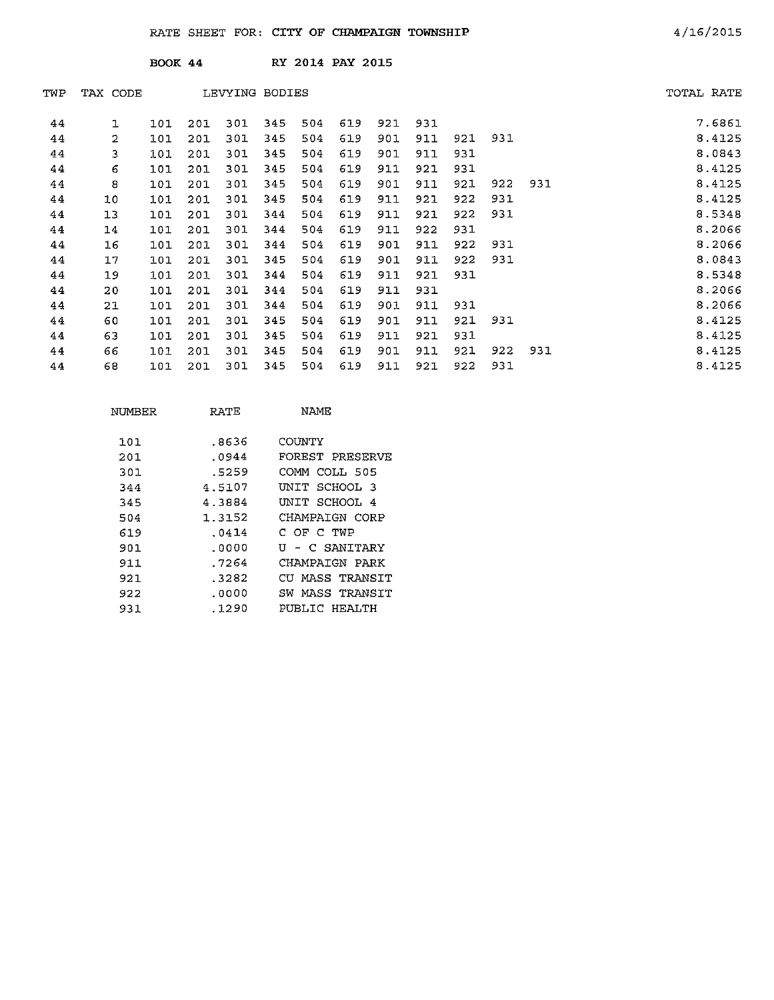| TAX CODE       |     |     |                |     |     |                |     |                  |     |     |     | TOTAL RATE |
|----------------|-----|-----|----------------|-----|-----|----------------|-----|------------------|-----|-----|-----|------------|
| ı              | 101 | 201 | 301            | 345 | 504 | 619            | 921 | 931              |     |     |     | 7,6861     |
| $\overline{2}$ | 101 | 201 | 301            | 345 | 504 | 619            | 901 | 911              | 921 | 931 |     | 8.4125     |
| 3              | 101 | 201 | 301            | 345 | 504 | 619            | 901 | 911              | 931 |     |     | 8.0843     |
| 6              | 101 | 201 | 301            | 345 | 504 | 619            | 911 | 921              | 931 |     |     | 8.4125     |
| 8              | 101 | 201 | 301            | 345 | 504 | 619            | 901 | 911              | 921 | 922 | 931 | 8.4125     |
| 10             | 101 | 201 | 301            | 345 | 504 | 619            | 911 | 921              | 922 | 931 |     | 8.4125     |
| 13             | 101 | 201 | 301            | 344 | 504 | 619            | 911 | 921              | 922 | 931 |     | 8.5348     |
| 14             | 101 | 201 | 301            | 344 | 504 | 619            | 911 | 922              | 931 |     |     | 8.2066     |
| 16             | 101 | 201 | 301            | 344 | 504 | 619            | 901 | 911              | 922 | 931 |     | 8.2066     |
| 17             | 101 | 201 | 301            | 345 | 504 | 619            | 901 | 911              | 922 | 931 |     | 8.0843     |
| 19             | 101 | 201 | 301            | 344 | 504 | 619            | 911 | 921              | 931 |     |     | 8.5348     |
| 20             | 101 | 201 | 301            | 344 | 504 | 619            | 911 | 931              |     |     |     | 8.2066     |
| 21             | 101 | 201 | 301            | 344 | 504 | 619            | 901 | 911              | 931 |     |     | 8.2066     |
| 60             | 101 | 201 | 301            | 345 | 504 | 619            | 901 | 911              | 921 | 931 |     | 8.4125     |
| 63             | 101 | 201 | 301            | 345 | 504 | 619            | 911 | 921              | 931 |     |     | 8.4125     |
| 66             | 101 | 201 | 301            | 345 | 504 | 619            | 901 | 911              | 921 | 922 | 931 | 8.4125     |
| 68             | 101 | 201 | 301            | 345 | 504 | 619            | 911 | 921              | 922 | 931 |     | 8.4125     |
|                |     |     | <b>BOOK 44</b> |     |     | LEVYING BODIES |     | RY 2014 PAY 2015 |     |     |     |            |

| NUMBER | RATE   | NAME               |
|--------|--------|--------------------|
| 101    | .8636  | COUNTY             |
| 201    | .0944  | FOREST PRESERVE    |
| 301    | .5259  | COMM COLL 505      |
| 344    | 4.5107 | INIT SCHOOL 3      |
| 345    | 4.3884 | UNIT SCHOOL 4      |
| 504    | 1.3152 | CHAMPATGN CORP     |
| 619    | .0414  | С ОГ С ТИР         |
| 901    | .0000  | - C SANITARY<br>U  |
| 911    | .7264  | CHAMPATGN PARK     |
| 921    | -3282  | CU MASS TRANSIT    |
| 922    | . 0000 | MASS TRANSIT<br>SW |
| 931    | .1290  | PUBLIC HEALTH      |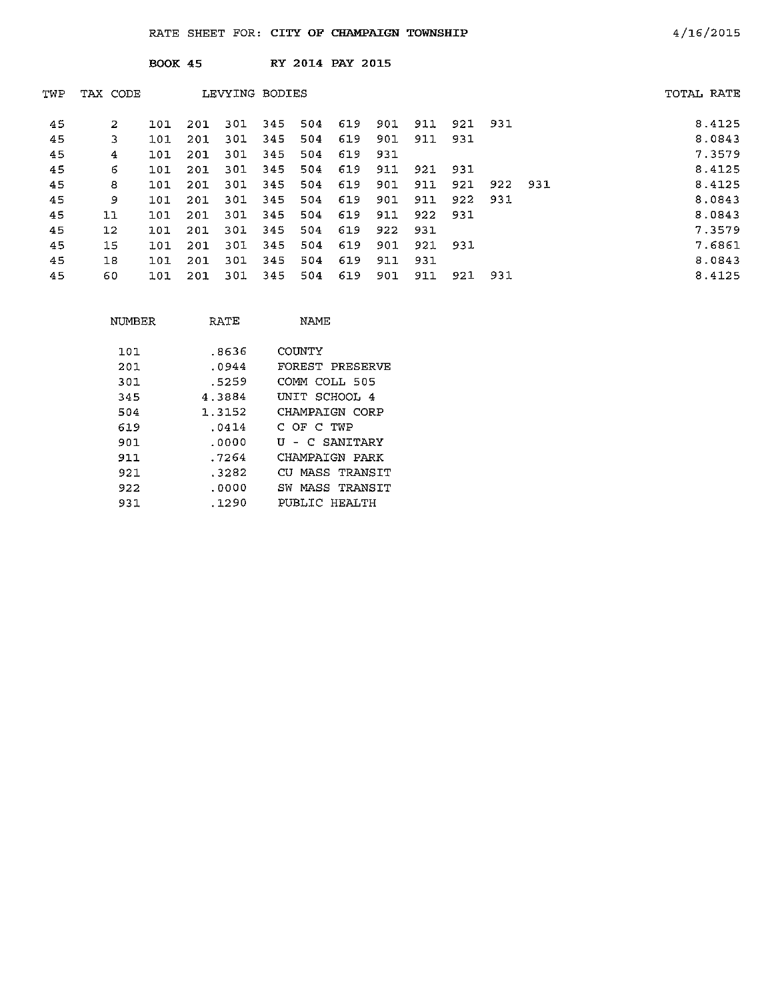|     |          | <b>BOOK 45</b> |     |                |     |     | RY 2014 PAY 2015 |     |     |     |     |     |            |        |
|-----|----------|----------------|-----|----------------|-----|-----|------------------|-----|-----|-----|-----|-----|------------|--------|
| TWP | TAX CODE |                |     | LEVYING BODIES |     |     |                  |     |     |     |     |     | TOTAL RATE |        |
| 45  | 2        | 101            | 201 | 301            | 345 | 504 | 619              | 901 | 911 | 921 | 931 |     |            | 8.4125 |
| 45  | 3.       | 101            | 201 | 301            | 345 | 504 | 619              | 901 | 911 | 931 |     |     |            | 8.0843 |
| 45  | 4        | 101            | 201 | 301            | 345 | 504 | 619              | 931 |     |     |     |     |            | 7.3579 |
| 45  | 6        | 101            | 201 | 301            | 345 | 504 | 619              | 911 | 921 | 931 |     |     |            | 8.4125 |
| 45  | 8        | 101            | 201 | 301            | 345 | 504 | 619              | 901 | 911 | 921 | 922 | 931 |            | 8.4125 |
| 45  | 9        | 101            | 201 | 301            | 345 | 504 | 619              | 901 | 911 | 922 | 931 |     |            | 8.0843 |
| 45  | 11       | 101            | 201 | 301            | 345 | 504 | 619              | 911 | 922 | 931 |     |     |            | 8.0843 |
| 45  | $12 \,$  | 101            | 201 | 301            | 345 | 504 | 619              | 922 | 931 |     |     |     |            | 7.3579 |
| 45  | 15       | 101            | 201 | 301            | 345 | 504 | 619              | 901 | 921 | 931 |     |     |            | 7.6861 |
| 45  | 18       | 101            | 201 | 301            | 345 | 504 | 619              | 911 | 931 |     |     |     |            | 8.0843 |
| 45  | 60       | 101            | 201 | 301            | 345 | 504 | 619              | 901 | 911 | 921 | 931 |     |            | 8.4125 |

| NUMBER | RATE   | NAME                |
|--------|--------|---------------------|
|        |        |                     |
| 101    | .8636  | COUNTY              |
| 201    | .0944  | FOREST PRESERVE     |
| 301.   | .5259  | COMM COLL 505       |
| 345    | 4.3884 | UNIT SCHOOL 4       |
| 504    | 1.3152 | CHAMPAIGN CORP      |
| 619    | .0414  | C OF C TWP          |
| 901    | .0000  | U - C SANITARY      |
| 911    | . 7264 | CHAMPAIGN PARK      |
| 921.   | .3282  | MASS TRANSTT<br>CU. |
| 922    | .0000  | MASS TRANSIT<br>SW  |
| 931    | .1290  | PUBLIC HEALTH       |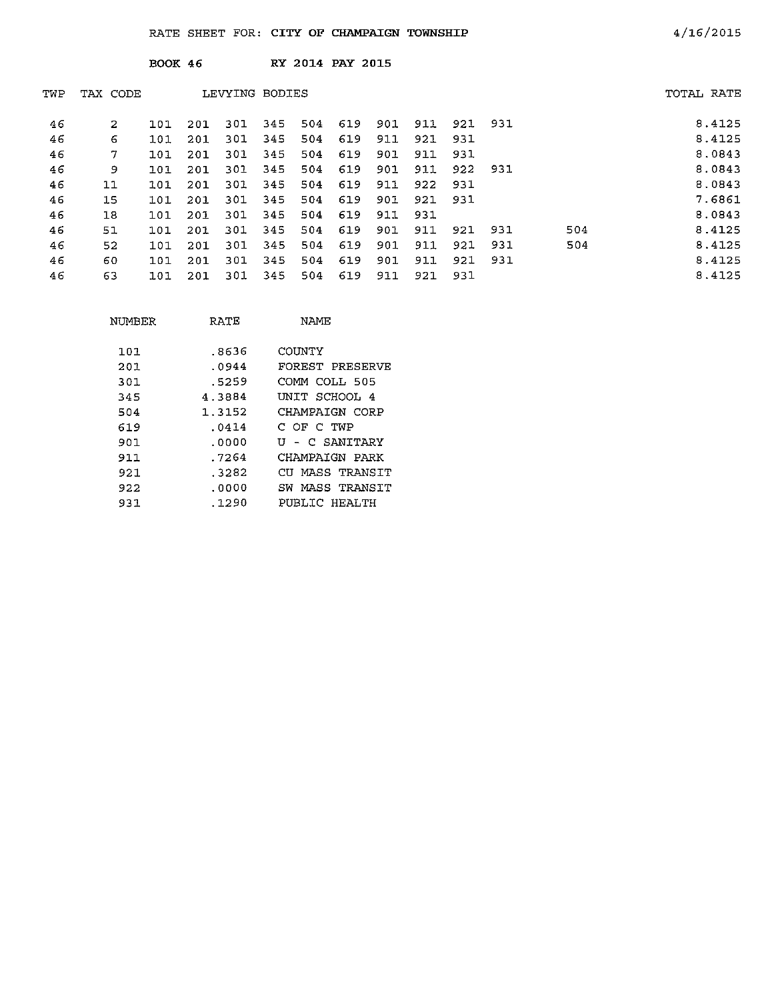|     |          | <b>BOOK 46</b> |     |                |     |     | RY 2014 PAY 2015 |     |     |     |     |     |            |
|-----|----------|----------------|-----|----------------|-----|-----|------------------|-----|-----|-----|-----|-----|------------|
| TWP | TAX CODE |                |     | LEVYING BODIES |     |     |                  |     |     |     |     |     | TOTAL RATE |
| 46  | 2        | 101            | 201 | 301            | 345 | 504 | 619              | 901 | 911 | 921 | 931 |     | 8.4125     |
| 46  | 6        | 101            | 201 | 301            | 345 | 504 | 619              | 911 | 921 | 931 |     |     | 8.4125     |
| 46  | 7        | 101            | 201 | 301            | 345 | 504 | 619              | 901 | 911 | 931 |     |     | 8.0843     |
| 46  | 9        | 101            | 201 | 301            | 345 | 504 | 619              | 901 | 911 | 922 | 931 |     | 8.0843     |
| 46  | 11       | 101            | 201 | 301            | 345 | 504 | 619              | 911 | 922 | 931 |     |     | 8.0843     |
| 46  | 15       | 101            | 201 | 301            | 345 | 504 | 619              | 901 | 921 | 931 |     |     | 7.6861     |
| 46  | 18       | 101            | 201 | 301            | 345 | 504 | 619              | 911 | 931 |     |     |     | 8.0843     |
| 46  | 51       | 101            | 201 | 301            | 345 | 504 | 619              | 901 | 911 | 921 | 931 | 504 | 8.4125     |
| 46  | 52       | 101            | 201 | 301            | 345 | 504 | 619              | 901 | 911 | 921 | 931 | 504 | 8.4125     |
| 46  | 60       | 101            | 201 | 301            | 345 | 504 | 619              | 901 | 911 | 921 | 931 |     | 8.4125     |
| 46  | 63       | 101            | 201 | 301            | 345 | 504 | 619              | 911 | 921 | 931 |     |     | 8.4125     |

| NUMBER | RATE   | NAME                 |
|--------|--------|----------------------|
|        |        |                      |
| 101    | .8636  | COUNTY               |
| 201    | .0944  | FOREST PRESERVE      |
| 301.   | .5259  | СОММ СОЊБ 505        |
| 345    | 4.3884 | UNIT SCHOOL 4        |
| 504    | 1.3152 | CHAMPAIGN CORP       |
| 619    | .0414  | С ОЕ С ТWР           |
| 901    | .0000  | U - C SANITARY       |
| 911    | . 7264 | CHAMPAIGN PARK       |
| 921.   | . 3282 | MASS TRANSIT<br>CTT. |
| 922    | .0000  | MASS TRANSIT<br>SW   |
| 931    | .1290  | PUBLIC HEALTH        |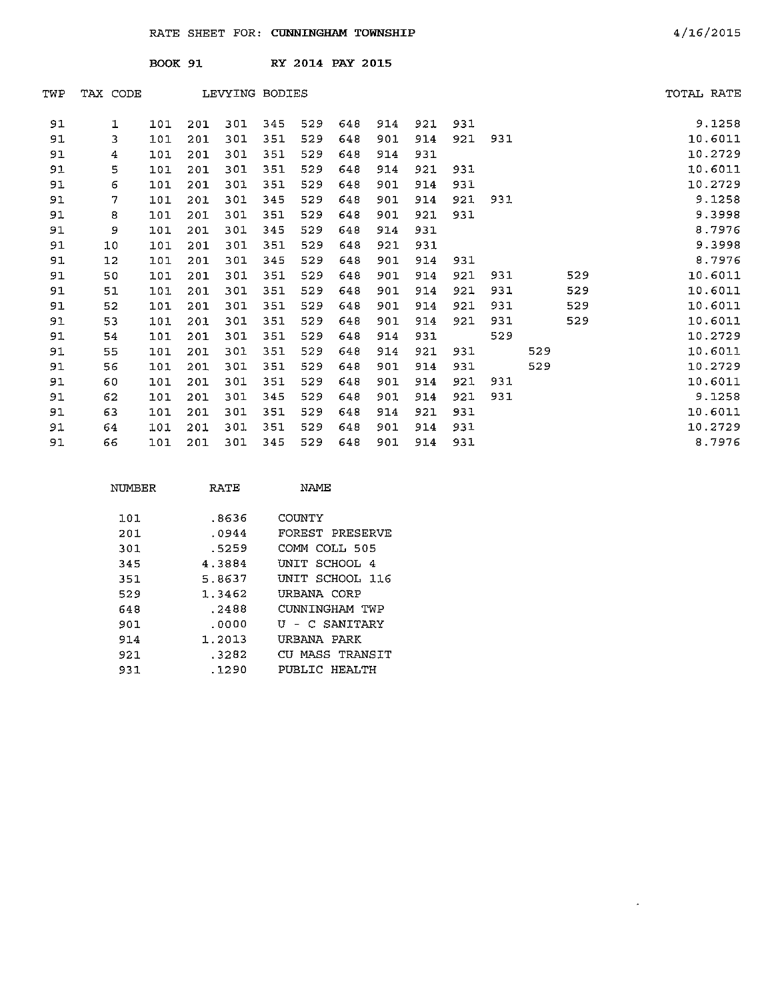|     |          | <b>BOOK 91</b> |     |                |     | RY 2014 PAY 2015 |     |     |     |     |     |     |     |            |
|-----|----------|----------------|-----|----------------|-----|------------------|-----|-----|-----|-----|-----|-----|-----|------------|
| TWP | TAX CODE |                |     | LEVYING BODIES |     |                  |     |     |     |     |     |     |     | TOTAL RATE |
| 91  | ı        | 101            | 201 | 301            | 345 | 529              | 648 | 914 | 921 | 931 |     |     |     | 9.1258     |
| 91  | 3        | 101            | 201 | 301            | 351 | 529              | 648 | 901 | 914 | 921 | 931 |     |     | 10.6011    |
| 91  | 4        | 101            | 201 | 301            | 351 | 529              | 648 | 914 | 931 |     |     |     |     | 10.2729    |
| 91  | 5        | 101            | 201 | 301            | 351 | 529              | 648 | 914 | 921 | 931 |     |     |     | 10.6011    |
| 91  | 6        | 101            | 201 | 301            | 351 | 529              | 648 | 901 | 914 | 931 |     |     |     | 10.2729    |
| 91  | 7        | 101            | 201 | 301            | 345 | 529              | 648 | 901 | 914 | 921 | 931 |     |     | 9.1258     |
| 91  | 8        | 101            | 201 | 301            | 351 | 529              | 648 | 901 | 921 | 931 |     |     |     | 9.3998     |
| 91  | 9        | 101            | 201 | 301            | 345 | 529              | 648 | 914 | 931 |     |     |     |     | 8.7976     |
| 91  | 10       | 101            | 201 | 301            | 351 | 529              | 648 | 921 | 931 |     |     |     |     | 9.3998     |
| 91  | 12       | 101            | 201 | 301            | 345 | 529              | 648 | 901 | 914 | 931 |     |     |     | 8.7976     |
| 91  | 50       | 101            | 201 | 301            | 351 | 529              | 648 | 901 | 914 | 921 | 931 |     | 529 | 10.6011    |
| 91  | 51       | 101            | 201 | 301            | 351 | 529              | 648 | 901 | 914 | 921 | 931 |     | 529 | 10.6011    |
| 91  | 52       | 101            | 201 | 301            | 351 | 529              | 648 | 901 | 914 | 921 | 931 |     | 529 | 10.6011    |
| 91  | 53       | 101            | 201 | 301            | 351 | 529              | 648 | 901 | 914 | 921 | 931 |     | 529 | 10.6011    |
| 91  | 54       | 101            | 201 | 301            | 351 | 529              | 648 | 914 | 931 |     | 529 |     |     | 10.2729    |
| 91  | 55       | 101            | 201 | 301            | 351 | 529              | 648 | 914 | 921 | 931 |     | 529 |     | 10.6011    |
| 91  | 56       | 101            | 201 | 301            | 351 | 529              | 648 | 901 | 914 | 931 |     | 529 |     | 10.2729    |
| 91  | 60       | 101            | 201 | 301            | 351 | 529              | 648 | 901 | 914 | 921 | 931 |     |     | 10.6011    |
| 91  | 62       | 101            | 201 | 301            | 345 | 529              | 648 | 901 | 914 | 921 | 931 |     |     | 9.1258     |
| 91  | 63       | 101            | 201 | 301            | 351 | 529              | 648 | 914 | 921 | 931 |     |     |     | 10.6011    |
| 91  | 64       | 101            | 201 | 301            | 351 | 529              | 648 | 901 | 914 | 931 |     |     |     | 10.2729    |
| 91  | 66       | 101            | 201 | 301            | 345 | 529              | 648 | 901 | 914 | 931 |     |     |     | 8.7976     |

| NUMBER | RATE   | NAMF            |
|--------|--------|-----------------|
| 101    | .8636  | COUNTY          |
| 201    | .0944  | FOREST PRESERVE |
| 301    | .5259  | COMM COLL 505   |
| 345    | 4.3884 | INIT SCHOOL 4   |
| 351    | 5.8637 | UNIT SCHOOL 116 |
| 529    | 1.3462 | URBANA CORP     |
| 648    | .2488  | CUNNINGHAM TWP  |
| 901    | . 0000 | U - C SANITARY  |
| 914    | 1.2013 | URBANA PARK     |
| 921    | .3282  | CU MASS TRANSIT |
| 931    | .1290  | PUBLIC HEALTH   |

 $\mathcal{L}^{\text{max}}_{\text{max}}$  ,  $\mathcal{L}^{\text{max}}_{\text{max}}$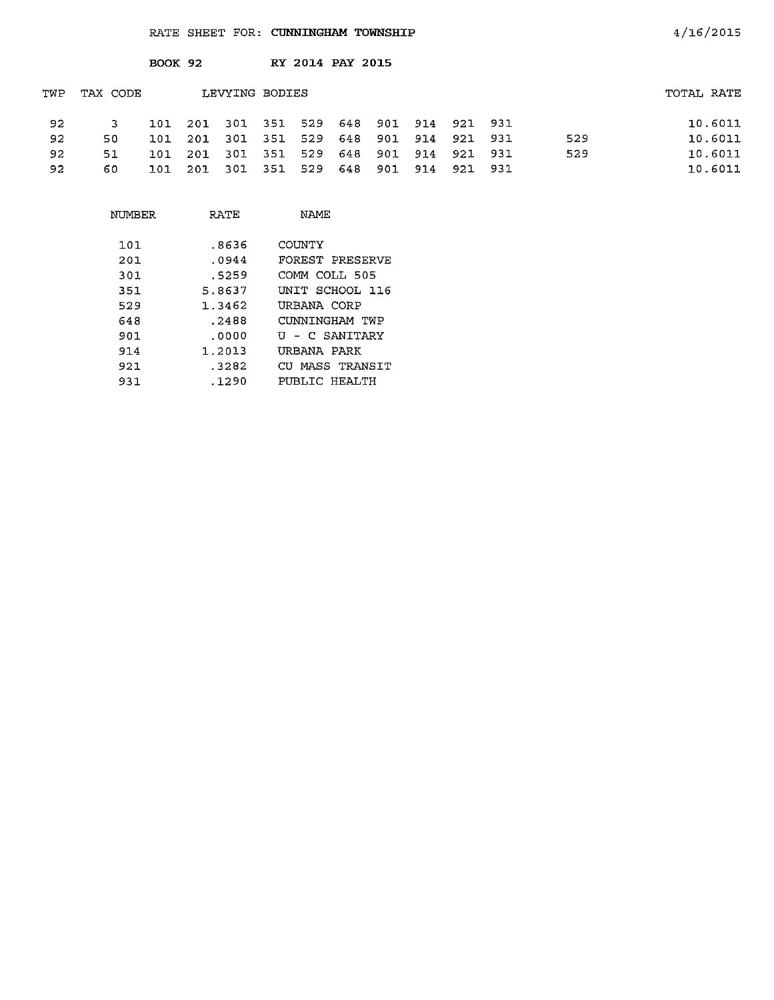|     |          | <b>BOOK 92</b> |     |                |         |     | RY 2014 PAY 2015 |     |         |         |      |     |            |
|-----|----------|----------------|-----|----------------|---------|-----|------------------|-----|---------|---------|------|-----|------------|
| TWP | TAX CODE |                |     | LEVYING BODIES |         |     |                  |     |         |         |      |     | TOTAL RATE |
| 92  | 3        | 101            | 201 | 301            | 351 529 |     | - 648            |     | 901 914 | 921 931 |      |     | 10.6011    |
| 92  | 50.      | 101            | 201 | - 301          | 351 529 |     | - 648            | 901 | 914     | 921 931 |      | 529 | 10.6011    |
| 92  | 51       | 101            | 201 | -301           | -351    | 529 | 648              | 901 | 914     | 921 931 |      | 529 | 10.6011    |
| 92  | 60       | 101            | 201 | -301           | - 351   | 529 | 648              | 901 | 914     | 921     | -931 |     | 10.6011    |

| RATE   | NAME            |
|--------|-----------------|
| .8636  | COUNTY          |
| .0944  | FOREST PRESERVE |
| . 5259 | COMM COLL 505   |
| 5.8637 | UNIT SCHOOL 116 |
| 1.3462 | URBANA CORP     |
| .2488  | CUNNINGHAM TWP  |
| . 0000 | U - C SANITARY  |
| 1.2013 | URBANA PARK     |
| .3282  | CU MASS TRANSIT |
| .1290  | PUBLIC HEALTH   |
|        |                 |